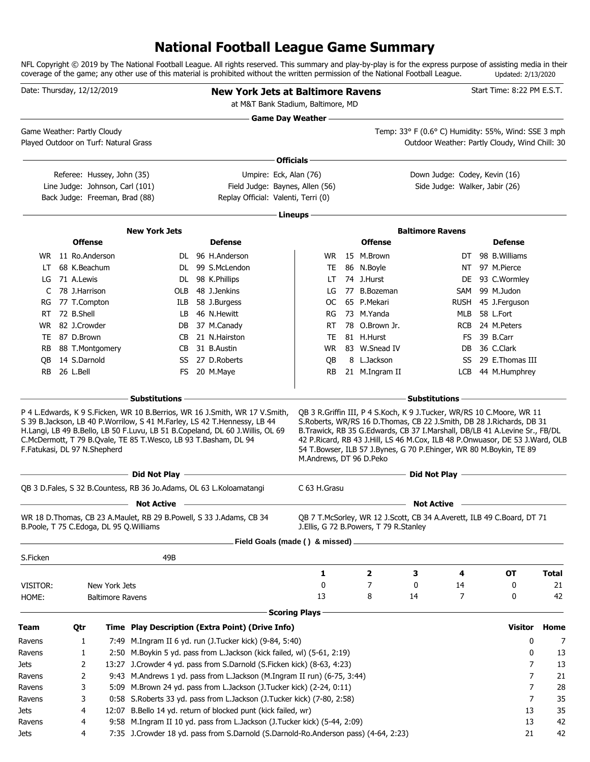# **National Football League Game Summary**

NFL Copyright © 2019 by The National Football League. All rights reserved. This summary and play-by-play is for the express purpose of assisting media in their coverage of the game; any other use of this material is prohibited without the written permission of the National Football League. Updated: 2/13/2020

|                  | Date: Thursday, 12/12/2019              |                         |                                                                                                                | <b>New York Jets at Baltimore Ravens</b><br>at M&T Bank Stadium, Baltimore, MD                                                                                                                                                                                                            |                            |                                        |                                                                                                                                                                                                                                                                                                                                                                                                                             |             | Start Time: 8:22 PM E.S.T.       |              |
|------------------|-----------------------------------------|-------------------------|----------------------------------------------------------------------------------------------------------------|-------------------------------------------------------------------------------------------------------------------------------------------------------------------------------------------------------------------------------------------------------------------------------------------|----------------------------|----------------------------------------|-----------------------------------------------------------------------------------------------------------------------------------------------------------------------------------------------------------------------------------------------------------------------------------------------------------------------------------------------------------------------------------------------------------------------------|-------------|----------------------------------|--------------|
|                  | Game Weather: Partly Cloudy             |                         |                                                                                                                |                                                                                                                                                                                                                                                                                           | <b>Game Day Weather --</b> |                                        | Temp: 33° F (0.6° C) Humidity: 55%, Wind: SSE 3 mph                                                                                                                                                                                                                                                                                                                                                                         |             |                                  |              |
|                  | Played Outdoor on Turf: Natural Grass   |                         |                                                                                                                |                                                                                                                                                                                                                                                                                           |                            |                                        | Outdoor Weather: Partly Cloudy, Wind Chill: 30                                                                                                                                                                                                                                                                                                                                                                              |             |                                  |              |
|                  |                                         |                         |                                                                                                                |                                                                                                                                                                                                                                                                                           | ∙ Officials –              |                                        |                                                                                                                                                                                                                                                                                                                                                                                                                             |             |                                  |              |
|                  | Referee: Hussey, John (35)              |                         |                                                                                                                | Umpire: Eck, Alan (76)                                                                                                                                                                                                                                                                    |                            |                                        | Down Judge: Codey, Kevin (16)                                                                                                                                                                                                                                                                                                                                                                                               |             |                                  |              |
|                  | Line Judge: Johnson, Carl (101)         |                         |                                                                                                                | Field Judge: Baynes, Allen (56)                                                                                                                                                                                                                                                           |                            |                                        | Side Judge: Walker, Jabir (26)                                                                                                                                                                                                                                                                                                                                                                                              |             |                                  |              |
|                  | Back Judge: Freeman, Brad (88)          |                         |                                                                                                                | Replay Official: Valenti, Terri (0)                                                                                                                                                                                                                                                       |                            |                                        |                                                                                                                                                                                                                                                                                                                                                                                                                             |             |                                  |              |
|                  |                                         |                         |                                                                                                                |                                                                                                                                                                                                                                                                                           | Lineups -                  |                                        |                                                                                                                                                                                                                                                                                                                                                                                                                             |             |                                  |              |
|                  |                                         |                         | <b>New York Jets</b>                                                                                           |                                                                                                                                                                                                                                                                                           |                            |                                        | <b>Baltimore Ravens</b>                                                                                                                                                                                                                                                                                                                                                                                                     |             |                                  |              |
|                  | <b>Offense</b>                          |                         |                                                                                                                | <b>Defense</b>                                                                                                                                                                                                                                                                            |                            | <b>Offense</b>                         |                                                                                                                                                                                                                                                                                                                                                                                                                             |             | <b>Defense</b>                   |              |
|                  | WR 11 Ro.Anderson                       |                         |                                                                                                                | DL 96 H.Anderson                                                                                                                                                                                                                                                                          | WR .                       | 15 M.Brown                             |                                                                                                                                                                                                                                                                                                                                                                                                                             | DT          | 98 B. Williams                   |              |
| LT.              | 68 K.Beachum                            |                         |                                                                                                                | DL 99 S.McLendon                                                                                                                                                                                                                                                                          | TE                         | 86 N.Boyle                             |                                                                                                                                                                                                                                                                                                                                                                                                                             | NT.         | 97 M.Pierce                      |              |
| LG               | 71 A.Lewis                              |                         |                                                                                                                | DL 98 K.Phillips                                                                                                                                                                                                                                                                          | LT.                        | 74 J.Hurst                             |                                                                                                                                                                                                                                                                                                                                                                                                                             | DE          | 93 C.Wormley                     |              |
| C                | 78 J.Harrison                           |                         | OLB                                                                                                            | 48 J.Jenkins                                                                                                                                                                                                                                                                              | LG                         | 77 B.Bozeman                           |                                                                                                                                                                                                                                                                                                                                                                                                                             | SAM         | 99 M.Judon                       |              |
| RG               | 77 T.Compton                            |                         | ILB                                                                                                            | 58 J.Burgess                                                                                                                                                                                                                                                                              | OС                         | 65 P.Mekari                            |                                                                                                                                                                                                                                                                                                                                                                                                                             | <b>RUSH</b> | 45 J.Ferguson                    |              |
| RT.              | 72 B.Shell                              |                         | LB                                                                                                             | 46 N.Hewitt                                                                                                                                                                                                                                                                               | RG                         | 73 M.Yanda                             |                                                                                                                                                                                                                                                                                                                                                                                                                             | MLB         | 58 L.Fort                        |              |
| WR.              | 82 J.Crowder                            |                         | DB                                                                                                             | 37 M.Canady                                                                                                                                                                                                                                                                               | RT                         | 78 O.Brown Jr.                         |                                                                                                                                                                                                                                                                                                                                                                                                                             | <b>RCB</b>  | 24 M.Peters                      |              |
| TE               | 87 D.Brown                              |                         | CB                                                                                                             | 21 N.Hairston                                                                                                                                                                                                                                                                             | TE                         | 81 H.Hurst                             |                                                                                                                                                                                                                                                                                                                                                                                                                             | FS          | 39 B.Carr                        |              |
| RB.              | 88 T.Montgomery                         |                         | CB                                                                                                             | 31 B.Austin                                                                                                                                                                                                                                                                               | WR.                        | 83 W.Snead IV                          |                                                                                                                                                                                                                                                                                                                                                                                                                             | DB.         | 36 C.Clark                       |              |
| QB.<br><b>RB</b> | 14 S.Darnold<br>26 L.Bell               |                         | SS                                                                                                             | 27 D.Roberts<br>FS 20 M.Maye                                                                                                                                                                                                                                                              | QB<br><b>RB</b>            | 8 L.Jackson<br>21 M.Ingram II          |                                                                                                                                                                                                                                                                                                                                                                                                                             | SS<br>LCB   | 29 E.Thomas III<br>44 M.Humphrey |              |
|                  | F.Fatukasi, DL 97 N.Shepherd            |                         | <b>Substitutions</b> -<br>C.McDermott, T 79 B.Qvale, TE 85 T.Wesco, LB 93 T.Basham, DL 94<br>—— Did Not Play — | P 4 L. Edwards, K 9 S. Ficken, WR 10 B. Berrios, WR 16 J. Smith, WR 17 V. Smith,<br>S 39 B.Jackson, LB 40 P.Worrilow, S 41 M.Farley, LS 42 T.Hennessy, LB 44<br>H.Langi, LB 49 B.Bello, LB 50 F.Luvu, LB 51 B.Copeland, DL 60 J.Willis, OL 69<br><u> 1980 - Johann Barbara, martxa al</u> | M.Andrews, DT 96 D.Peko    |                                        | <b>Substitutions</b><br>QB 3 R.Griffin III, P 4 S.Koch, K 9 J.Tucker, WR/RS 10 C.Moore, WR 11<br>S.Roberts, WR/RS 16 D.Thomas, CB 22 J.Smith, DB 28 J.Richards, DB 31<br>B.Trawick, RB 35 G.Edwards, CB 37 I.Marshall, DB/LB 41 A.Levine Sr., FB/DL<br>42 P.Ricard, RB 43 J.Hill, LS 46 M.Cox, ILB 48 P.Onwuasor, DE 53 J.Ward, OLB<br>54 T.Bowser, ILB 57 J.Bynes, G 70 P.Ehinger, WR 80 M.Boykin, TE 89<br>Did Not Play — |             |                                  |              |
|                  |                                         |                         | QB 3 D.Fales, S 32 B.Countess, RB 36 Jo.Adams, OL 63 L.Koloamatangi                                            |                                                                                                                                                                                                                                                                                           | C 63 H.Grasu               |                                        |                                                                                                                                                                                                                                                                                                                                                                                                                             |             |                                  |              |
|                  |                                         |                         | <b>Not Active</b>                                                                                              |                                                                                                                                                                                                                                                                                           |                            |                                        | <b>Not Active</b>                                                                                                                                                                                                                                                                                                                                                                                                           |             |                                  |              |
|                  | B.Poole, T 75 C.Edoga, DL 95 Q.Williams |                         | WR 18 D. Thomas, CB 23 A. Maulet, RB 29 B. Powell, S 33 J. Adams, CB 34                                        |                                                                                                                                                                                                                                                                                           |                            | J.Ellis, G 72 B.Powers, T 79 R.Stanley | OB 7 T.McSorley, WR 12 J.Scott, CB 34 A.Averett, ILB 49 C.Board, DT 71                                                                                                                                                                                                                                                                                                                                                      |             |                                  |              |
|                  |                                         |                         |                                                                                                                | Field Goals (made () & missed) .                                                                                                                                                                                                                                                          |                            |                                        |                                                                                                                                                                                                                                                                                                                                                                                                                             |             |                                  |              |
| S.Ficken         |                                         |                         | 49B                                                                                                            |                                                                                                                                                                                                                                                                                           |                            |                                        |                                                                                                                                                                                                                                                                                                                                                                                                                             |             |                                  |              |
|                  |                                         |                         |                                                                                                                |                                                                                                                                                                                                                                                                                           | 1                          | 2                                      | З                                                                                                                                                                                                                                                                                                                                                                                                                           | 4           | <b>OT</b>                        | <b>Total</b> |
| VISITOR:         |                                         | New York Jets           |                                                                                                                |                                                                                                                                                                                                                                                                                           | 0                          | 7                                      | 0                                                                                                                                                                                                                                                                                                                                                                                                                           | 14          | 0                                | 21           |
| HOME:            |                                         | <b>Baltimore Ravens</b> |                                                                                                                |                                                                                                                                                                                                                                                                                           | 13                         | 8                                      | 14                                                                                                                                                                                                                                                                                                                                                                                                                          | 7           | 0                                | 42           |
|                  |                                         |                         |                                                                                                                |                                                                                                                                                                                                                                                                                           | <b>Scoring Plays</b>       |                                        |                                                                                                                                                                                                                                                                                                                                                                                                                             |             |                                  |              |
| Team             | Qtr                                     |                         |                                                                                                                | Time Play Description (Extra Point) (Drive Info)                                                                                                                                                                                                                                          |                            |                                        |                                                                                                                                                                                                                                                                                                                                                                                                                             |             | <b>Visitor</b>                   | Home         |
| Ravens           | 1                                       |                         |                                                                                                                | 7:49 M.Ingram II 6 yd. run (J.Tucker kick) (9-84, 5:40)                                                                                                                                                                                                                                   |                            |                                        |                                                                                                                                                                                                                                                                                                                                                                                                                             |             | 0                                | 7            |
| Ravens           | 1                                       |                         |                                                                                                                | 2:50 M.Boykin 5 yd. pass from L.Jackson (kick failed, wl) (5-61, 2:19)                                                                                                                                                                                                                    |                            |                                        |                                                                                                                                                                                                                                                                                                                                                                                                                             |             | 0                                | 13           |
| Jets             | 2                                       |                         |                                                                                                                | 13:27 J.Crowder 4 yd. pass from S.Darnold (S.Ficken kick) (8-63, 4:23)                                                                                                                                                                                                                    |                            |                                        |                                                                                                                                                                                                                                                                                                                                                                                                                             |             | 7                                | 13           |
| Ravens           | 2                                       |                         |                                                                                                                | 9:43 M.Andrews 1 yd. pass from L.Jackson (M.Ingram II run) (6-75, 3:44)                                                                                                                                                                                                                   |                            |                                        |                                                                                                                                                                                                                                                                                                                                                                                                                             |             | 7                                | 21           |
| Ravens           | 3                                       |                         |                                                                                                                | 5:09 M.Brown 24 yd. pass from L.Jackson (J.Tucker kick) (2-24, 0:11)                                                                                                                                                                                                                      |                            |                                        |                                                                                                                                                                                                                                                                                                                                                                                                                             |             | 7                                | 28           |
| Ravens           | 3                                       |                         |                                                                                                                | 0:58 S.Roberts 33 yd. pass from L.Jackson (J.Tucker kick) (7-80, 2:58)                                                                                                                                                                                                                    |                            |                                        |                                                                                                                                                                                                                                                                                                                                                                                                                             |             | 7                                | 35           |
| Jets             | 4                                       |                         |                                                                                                                | 12:07 B.Bello 14 yd. return of blocked punt (kick failed, wr)                                                                                                                                                                                                                             |                            |                                        |                                                                                                                                                                                                                                                                                                                                                                                                                             |             | 13                               | 35           |
| Ravens           | 4                                       |                         |                                                                                                                | 9:58 M.Ingram II 10 yd. pass from L.Jackson (J.Tucker kick) (5-44, 2:09)                                                                                                                                                                                                                  |                            |                                        |                                                                                                                                                                                                                                                                                                                                                                                                                             |             | 13                               | 42           |
| Jets             | 4                                       |                         |                                                                                                                | 7:35 J.Crowder 18 yd. pass from S.Darnold (S.Darnold-Ro.Anderson pass) (4-64, 2:23)                                                                                                                                                                                                       |                            |                                        |                                                                                                                                                                                                                                                                                                                                                                                                                             |             | 21                               | 42           |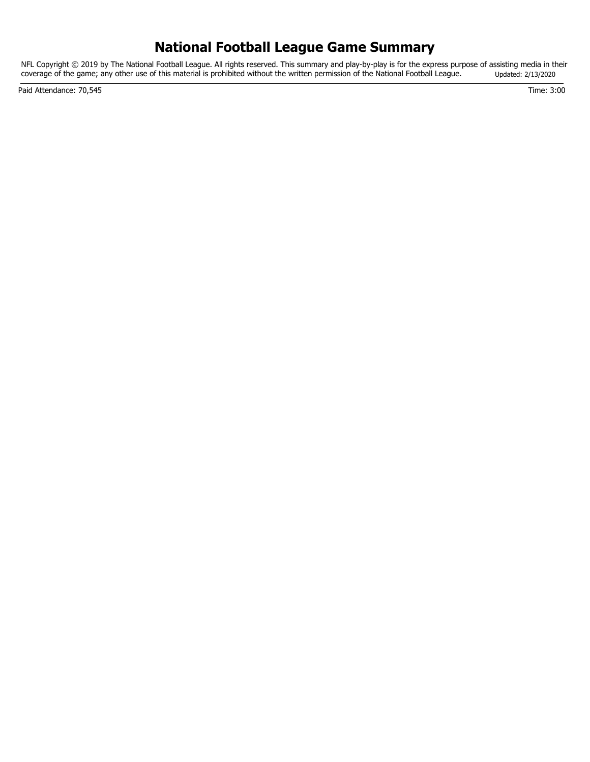# **National Football League Game Summary**

NFL Copyright © 2019 by The National Football League. All rights reserved. This summary and play-by-play is for the express purpose of assisting media in their coverage of the game; any other use of this material is prohibited without the written permission of the National Football League. Updated: 2/13/2020

Paid Attendance: 70,545 Time: 3:00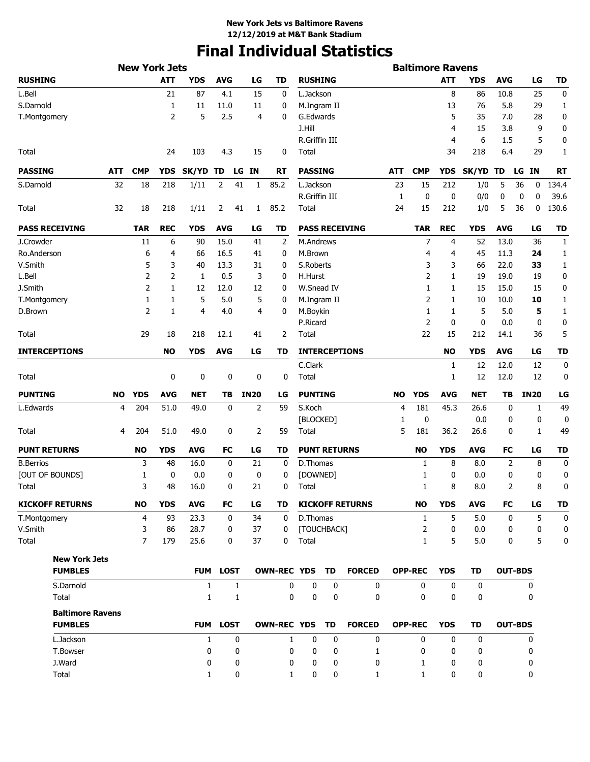# **Final Individual Statistics**

|                     |                         |           | <b>New York Jets</b> |            |              |                 |              |             |                    |                     |           |                        |        | <b>Baltimore Ravens</b> |            |             |            |                 |              |
|---------------------|-------------------------|-----------|----------------------|------------|--------------|-----------------|--------------|-------------|--------------------|---------------------|-----------|------------------------|--------|-------------------------|------------|-------------|------------|-----------------|--------------|
| <b>RUSHING</b>      |                         |           |                      | <b>ATT</b> | <b>YDS</b>   | <b>AVG</b>      |              | LG          | <b>TD</b>          | <b>RUSHING</b>      |           |                        |        |                         | <b>ATT</b> | YDS         | <b>AVG</b> | LG              | <b>TD</b>    |
| L.Bell              |                         |           |                      | 21         | 87           | 4.1             |              | 15          | 0                  | L.Jackson           |           |                        |        |                         | 8          | 86          | 10.8       | 25              | 0            |
| S.Darnold           |                         |           |                      | 1          | 11           | 11.0            |              | 11          | 0                  | M.Ingram II         |           |                        |        |                         | 13         | 76          | 5.8        | 29              | 1            |
| T.Montgomery        |                         |           |                      | 2          | 5            | 2.5             |              | 4           | 0                  | G.Edwards           |           |                        |        |                         | 5          | 35          | 7.0        | 28              | 0            |
|                     |                         |           |                      |            |              |                 |              |             |                    | J.Hill              |           |                        |        |                         | 4          | 15          | 3.8        | 9               | 0            |
|                     |                         |           |                      |            |              |                 |              |             |                    | R.Griffin III       |           |                        |        |                         | 4          | 6           | 1.5        | 5               | 0            |
| Total               |                         |           |                      | 24         | 103          | 4.3             |              | 15          | 0                  | Total               |           |                        |        |                         | 34         | 218         | 6.4        | 29              | $\mathbf{1}$ |
| <b>PASSING</b>      |                         | ATT       | <b>CMP</b>           | <b>YDS</b> | SK/YD TD     |                 |              | LG IN       | RT                 | <b>PASSING</b>      |           |                        | ATT    | <b>CMP</b>              | <b>YDS</b> | SK/YD       | TD         | <b>IN</b><br>LG | <b>RT</b>    |
| S.Darnold           |                         | 32        | 18                   | 218        | 1/11         | 2               | 41           | 1           | 85.2               | L.Jackson           |           |                        | 23     | 15                      | 212        | 1/0         | 5          | 36<br>0         | 134.4        |
|                     |                         |           |                      |            |              |                 |              |             |                    | R.Griffin III       |           |                        | 1      | 0                       | 0          | 0/0         | 0          | 0<br>0          | 39.6         |
| Total               |                         | 32        | 18                   | 218        | 1/11         | 2               | 41           | 1           | 85.2               | Total               |           |                        | 24     | 15                      | 212        | 1/0         | 5          | 36<br>0         | 130.6        |
|                     | <b>PASS RECEIVING</b>   |           | <b>TAR</b>           | <b>REC</b> | <b>YDS</b>   | <b>AVG</b>      |              | LG          | TD                 |                     |           | <b>PASS RECEIVING</b>  |        | <b>TAR</b>              | <b>REC</b> | <b>YDS</b>  | <b>AVG</b> | LG              | <b>TD</b>    |
| J.Crowder           |                         |           | 11                   | 6          | 90           | 15.0            |              | 41          | 2                  | M.Andrews           |           |                        |        | 7                       | 4          | 52          | 13.0       | 36              | 1            |
| Ro.Anderson         |                         |           | 6                    | 4          | 66           | 16.5            |              | 41          | 0                  | M.Brown             |           |                        |        | 4                       | 4          | 45          | 11.3       | 24              | 1            |
| V.Smith             |                         |           | 5                    | 3          | 40           | 13.3            |              | 31          | 0                  | S.Roberts           |           |                        |        | 3                       | 3          | 66          | 22.0       | 33              | 1            |
| L.Bell              |                         |           | 2                    | 2          | 1            | 0.5             |              | 3           | 0                  | H.Hurst             |           |                        |        | $\overline{2}$          | 1          | 19          | 19.0       | 19              | 0            |
| J.Smith             |                         |           | $\overline{2}$       | 1          | 12           | 12.0            |              | 12          | 0                  | W.Snead IV          |           |                        |        | 1                       | 1          | 15          | 15.0       | 15              | 0            |
| T.Montgomery        |                         |           | 1                    | 1          | 5            | 5.0             |              | 5           | 0                  | M.Ingram II         |           |                        |        | $\overline{2}$          | 1          | 10          | 10.0       | 10              | 1            |
| D.Brown             |                         |           | $\overline{2}$       | 1          | 4            | 4.0             |              | 4           | 0                  | M.Boykin            |           |                        |        | 1                       | 1          | 5           | 5.0        | 5               | 1            |
|                     |                         |           |                      |            |              |                 |              |             |                    | P.Ricard            |           |                        |        | $\overline{2}$          | 0          | 0           | 0.0        | 0               | 0            |
| Total               |                         |           | 29                   | 18         | 218          | 12.1            |              | 41          | 2                  | Total               |           |                        |        | 22                      | 15         | 212         | 14.1       | 36              | 5            |
|                     | <b>INTERCEPTIONS</b>    |           |                      | <b>NO</b>  | <b>YDS</b>   | <b>AVG</b>      |              | LG          | TD                 |                     |           | <b>INTERCEPTIONS</b>   |        |                         | <b>NO</b>  | <b>YDS</b>  | <b>AVG</b> | LG              | <b>TD</b>    |
|                     |                         |           |                      |            |              |                 |              |             |                    | C.Clark             |           |                        |        |                         | 1          | 12          | 12.0       | 12              | 0            |
| Total               |                         |           |                      | 0          | 0            | 0               |              | 0           | 0                  | Total               |           |                        |        |                         | 1          | 12          | 12.0       | 12              | 0            |
| <b>PUNTING</b>      |                         | <b>NO</b> | <b>YDS</b>           | <b>AVG</b> | <b>NET</b>   | TB              |              | <b>IN20</b> | LG                 | <b>PUNTING</b>      |           |                        | NO     | <b>YDS</b>              | <b>AVG</b> | <b>NET</b>  | ΤВ         | <b>IN20</b>     | LG           |
| L.Edwards           |                         | 4         | 204                  | 51.0       | 49.0         | 0               |              | 2           | 59                 | S.Koch              |           |                        | 4      | 181                     | 45.3       | 26.6        | 0          | 1               | 49           |
| Total               |                         | 4         | 204                  | 51.0       | 49.0         | 0               |              | 2           | 59                 | [BLOCKED]<br>Total  |           |                        | 1<br>5 | 0<br>181                | 36.2       | 0.0<br>26.6 | 0<br>0     | 0<br>1          | 0<br>49      |
|                     |                         |           |                      |            |              |                 |              |             |                    |                     |           |                        |        |                         |            |             |            |                 |              |
| <b>PUNT RETURNS</b> |                         |           | NO                   | <b>YDS</b> | <b>AVG</b>   | FC              |              | LG          | TD                 | <b>PUNT RETURNS</b> |           |                        |        | <b>NO</b>               | <b>YDS</b> | AVG         | FC         | LG              | TD           |
| <b>B.Berrios</b>    |                         |           | 3                    | 48         | 16.0         | 0               |              | 21          | 0                  | D.Thomas            |           |                        |        | 1                       | 8          | 8.0         | 2          | 8               | 0            |
|                     | [OUT OF BOUNDS]         |           | 1                    | 0          | 0.0          | 0               |              | 0           | 0                  | [DOWNED]            |           |                        |        | 1                       | 0          | 0.0         | 0          | 0               | 0            |
| Total               |                         |           | 3                    | 48         | 16.0         | 0               |              | 21          | 0                  | Total               |           |                        |        | 1                       | 8          | 8.0         | 2          | 8               | 0            |
|                     | <b>KICKOFF RETURNS</b>  |           | NO                   | <b>YDS</b> | <b>AVG</b>   | FC              |              | LG          | TD                 |                     |           | <b>KICKOFF RETURNS</b> |        | <b>NO</b>               | <b>YDS</b> | <b>AVG</b>  | FC         | LG              | <b>TD</b>    |
| T.Montgomery        |                         |           | 4                    | 93         | 23.3         | $\mathbf 0$     |              | 34          | $\mathbf 0$        | D.Thomas            |           |                        |        | $\mathbf{1}$            | 5          | 5.0         | 0          | 5               | $\mathbf 0$  |
| V.Smith             |                         |           | 3                    | 86         | 28.7         | 0               |              | 37          | $\mathbf{0}$       | [TOUCHBACK]         |           |                        |        | 2                       | 0          | 0.0         | 0          | 0               | 0            |
| Total               |                         |           | $\overline{7}$       | 179        | 25.6         | 0               |              | 37          | 0                  | Total               |           |                        |        | $\mathbf{1}$            | 5          | 5.0         | 0          | 5               | 0            |
|                     | <b>New York Jets</b>    |           |                      |            |              |                 |              |             |                    |                     |           |                        |        |                         |            |             |            |                 |              |
|                     | <b>FUMBLES</b>          |           |                      |            |              | <b>FUM LOST</b> |              |             | <b>OWN-REC YDS</b> |                     | <b>TD</b> | <b>FORCED</b>          |        | <b>OPP-REC</b>          | <b>YDS</b> | TD          |            | <b>OUT-BDS</b>  |              |
|                     | S.Darnold               |           |                      |            | $\mathbf{1}$ |                 | $\mathbf{1}$ |             | 0                  | $\mathbf 0$         | 0         | 0                      |        | 0                       | 0          | 0           |            | 0               |              |
|                     | Total                   |           |                      |            | $\mathbf{1}$ |                 | 1            |             | 0                  | 0                   | 0         | 0                      |        | 0                       | 0          | 0           |            | 0               |              |
|                     | <b>Baltimore Ravens</b> |           |                      |            |              |                 |              |             |                    |                     |           |                        |        |                         |            |             |            |                 |              |
|                     | <b>FUMBLES</b>          |           |                      |            |              | <b>FUM LOST</b> |              |             | <b>OWN-REC YDS</b> |                     | <b>TD</b> | <b>FORCED</b>          |        | <b>OPP-REC</b>          | <b>YDS</b> | TD          |            | <b>OUT-BDS</b>  |              |
|                     | L.Jackson               |           |                      |            | $\mathbf{1}$ |                 | 0            |             | $\mathbf{1}$       | $\mathbf 0$         | 0         | 0                      |        | $\mathbf 0$             | 0          | 0           |            | 0               |              |
|                     | T.Bowser                |           |                      |            | 0            |                 | 0            |             | 0                  | 0                   | 0         | 1                      |        | 0                       | 0          | 0           |            | 0               |              |
|                     | J.Ward                  |           |                      |            | 0            |                 | 0            |             | 0                  | 0                   | 0         | 0                      |        | 1                       | 0          | 0           |            | 0               |              |
|                     | Total                   |           |                      |            | 1            |                 | 0            |             | 1                  | 0                   | 0         | 1                      |        | $\mathbf{1}$            | 0          | 0           |            | 0               |              |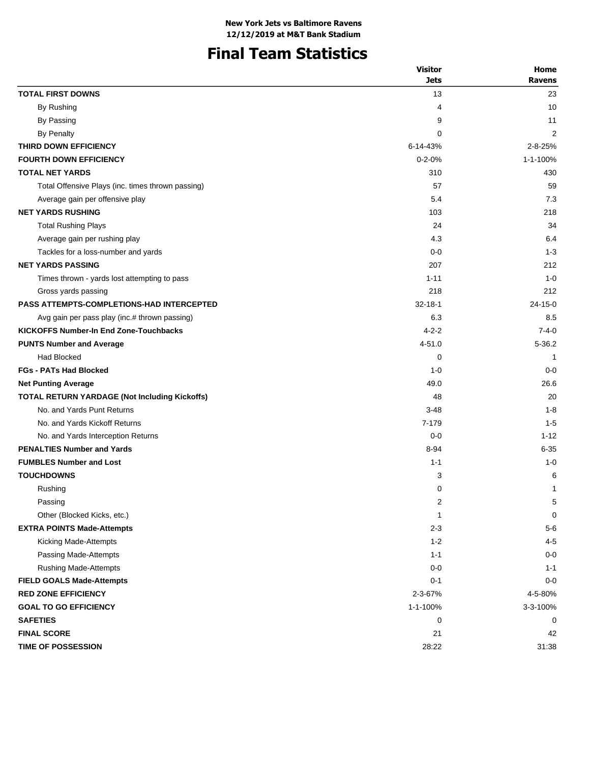# **Final Team Statistics**

|                                                   | <b>Visitor</b> | Home          |
|---------------------------------------------------|----------------|---------------|
|                                                   | <b>Jets</b>    | <b>Ravens</b> |
| <b>TOTAL FIRST DOWNS</b>                          | 13             | 23            |
| By Rushing                                        | 4              | 10            |
| By Passing                                        | 9              | 11            |
| By Penalty                                        | 0              | 2             |
| THIRD DOWN EFFICIENCY                             | 6-14-43%       | $2 - 8 - 25%$ |
| <b>FOURTH DOWN EFFICIENCY</b>                     | $0 - 2 - 0%$   | 1-1-100%      |
| <b>TOTAL NET YARDS</b>                            | 310            | 430           |
| Total Offensive Plays (inc. times thrown passing) | 57             | 59            |
| Average gain per offensive play                   | 5.4            | 7.3           |
| <b>NET YARDS RUSHING</b>                          | 103            | 218           |
| <b>Total Rushing Plays</b>                        | 24             | 34            |
| Average gain per rushing play                     | 4.3            | 6.4           |
| Tackles for a loss-number and yards               | $0 - 0$        | $1 - 3$       |
| <b>NET YARDS PASSING</b>                          | 207            | 212           |
| Times thrown - yards lost attempting to pass      | $1 - 11$       | $1 - 0$       |
| Gross yards passing                               | 218            | 212           |
| <b>PASS ATTEMPTS-COMPLETIONS-HAD INTERCEPTED</b>  | $32 - 18 - 1$  | $24 - 15 - 0$ |
| Avg gain per pass play (inc.# thrown passing)     | 6.3            | 8.5           |
| <b>KICKOFFS Number-In End Zone-Touchbacks</b>     | $4 - 2 - 2$    | $7 - 4 - 0$   |
| <b>PUNTS Number and Average</b>                   | 4-51.0         | 5-36.2        |
| <b>Had Blocked</b>                                | 0              | 1             |
| <b>FGs - PATs Had Blocked</b>                     | $1 - 0$        | $0 - 0$       |
| <b>Net Punting Average</b>                        | 49.0           | 26.6          |
| TOTAL RETURN YARDAGE (Not Including Kickoffs)     | 48             | 20            |
| No. and Yards Punt Returns                        | $3 - 48$       | $1 - 8$       |
| No. and Yards Kickoff Returns                     | 7-179          | $1 - 5$       |
| No. and Yards Interception Returns                | $0 - 0$        | $1 - 12$      |
| <b>PENALTIES Number and Yards</b>                 | 8-94           | $6 - 35$      |
| <b>FUMBLES Number and Lost</b>                    | $1 - 1$        | $1 - 0$       |
| <b>TOUCHDOWNS</b>                                 | 3              | 6             |
| Rushing                                           | 0              | 1             |
| Passing                                           | 2              | 5             |
| Other (Blocked Kicks, etc.)                       | 1              | 0             |
| <b>EXTRA POINTS Made-Attempts</b>                 | $2 - 3$        | $5-6$         |
| Kicking Made-Attempts                             | $1 - 2$        | $4 - 5$       |
| Passing Made-Attempts                             | $1 - 1$        | $0 - 0$       |
| <b>Rushing Made-Attempts</b>                      | $0 - 0$        | $1 - 1$       |
| <b>FIELD GOALS Made-Attempts</b>                  | $0 - 1$        | $0 - 0$       |
| <b>RED ZONE EFFICIENCY</b>                        | 2-3-67%        | 4-5-80%       |
| <b>GOAL TO GO EFFICIENCY</b>                      | 1-1-100%       | 3-3-100%      |
| <b>SAFETIES</b>                                   | 0              | 0             |
| <b>FINAL SCORE</b>                                | 21             | 42            |
| <b>TIME OF POSSESSION</b>                         | 28:22          | 31:38         |
|                                                   |                |               |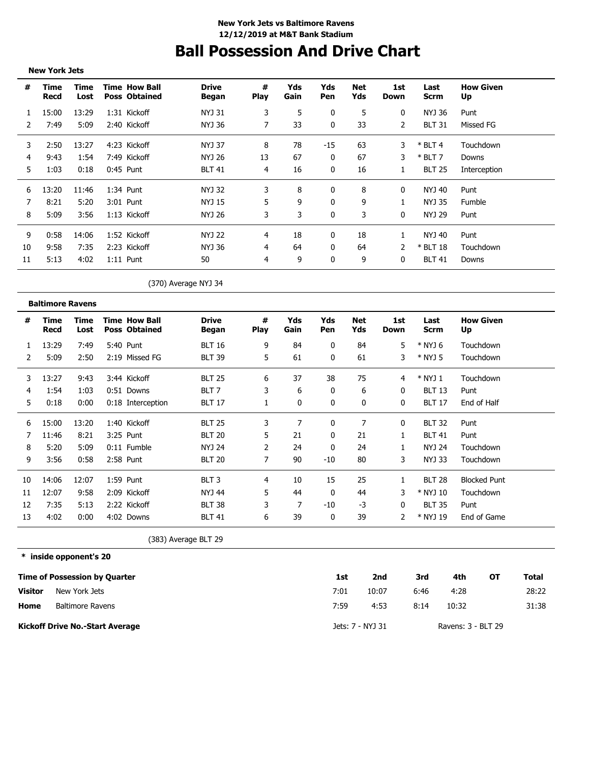# **Ball Possession And Drive Chart**

|                | <b>New York Jets</b>                 |                         |                                              |                              |                  |             |              |                  |                    |                     |                        |                     |              |
|----------------|--------------------------------------|-------------------------|----------------------------------------------|------------------------------|------------------|-------------|--------------|------------------|--------------------|---------------------|------------------------|---------------------|--------------|
| #              | Time<br>Recd                         | Time<br>Lost            | <b>Time How Ball</b><br><b>Poss Obtained</b> | <b>Drive</b><br><b>Began</b> | #<br><b>Play</b> | Yds<br>Gain | Yds<br>Pen   | Net<br>Yds       | 1st<br>Down        | Last<br><b>Scrm</b> | <b>How Given</b><br>Up |                     |              |
| 1              | 15:00                                | 13:29                   | 1:31 Kickoff                                 | NYJ 31                       | 3                | 5           | 0            | 5                | 0                  | <b>NYJ 36</b>       | Punt                   |                     |              |
| 2              | 7:49                                 | 5:09                    | 2:40 Kickoff                                 | <b>NYJ 36</b>                | 7                | 33          | 0            | 33               | 2                  | <b>BLT 31</b>       | Missed FG              |                     |              |
| 3              | 2:50                                 | 13:27                   | 4:23 Kickoff                                 | <b>NYJ 37</b>                | 8                | 78          | $-15$        | 63               | 3                  | $*$ BLT 4           | Touchdown              |                     |              |
| 4              | 9:43                                 | 1:54                    | 7:49 Kickoff                                 | NYJ 26                       | 13               | 67          | 0            | 67               | 3                  | $*$ BLT 7           | Downs                  |                     |              |
| 5              | 1:03                                 | 0:18                    | 0:45 Punt                                    | <b>BLT 41</b>                | 4                | 16          | 0            | 16               | 1                  | <b>BLT 25</b>       | Interception           |                     |              |
| 6              | 13:20                                | 11:46                   | 1:34 Punt                                    | NYJ 32                       | 3                | 8           | 0            | 8                | 0                  | NYJ 40              | Punt                   |                     |              |
| 7              | 8:21                                 | 5:20                    | 3:01 Punt                                    | NYJ 15                       | 5                | 9           | 0            | 9                | 1                  | <b>NYJ 35</b>       | Fumble                 |                     |              |
| 8              | 5:09                                 | 3:56                    | 1:13 Kickoff                                 | <b>NYJ 26</b>                | 3                | 3           | 0            | 3                | 0                  | <b>NYJ 29</b>       | Punt                   |                     |              |
| 9              | 0:58                                 | 14:06                   | 1:52 Kickoff                                 | <b>NYJ 22</b>                | 4                | 18          | 0            | 18               | 1                  | <b>NYJ 40</b>       | Punt                   |                     |              |
| 10             | 9:58                                 | 7:35                    | 2:23 Kickoff                                 | NYJ 36                       | 4                | 64          | 0            | 64               | 2                  | * BLT 18            | Touchdown              |                     |              |
| 11             | 5:13                                 | 4:02                    | $1:11$ Punt                                  | 50                           | 4                | 9           | 0            | 9                | 0                  | <b>BLT 41</b>       | Downs                  |                     |              |
|                |                                      |                         |                                              | (370) Average NYJ 34         |                  |             |              |                  |                    |                     |                        |                     |              |
|                | <b>Baltimore Ravens</b>              |                         |                                              |                              |                  |             |              |                  |                    |                     |                        |                     |              |
| #              | Time<br>Recd                         | Time<br>Lost            | <b>Time How Ball</b><br><b>Poss Obtained</b> | <b>Drive</b><br><b>Began</b> | #<br><b>Play</b> | Yds<br>Gain | Yds<br>Pen   | Net<br>Yds       | 1st<br><b>Down</b> | Last<br><b>Scrm</b> | <b>How Given</b><br>Up |                     |              |
| 1              | 13:29                                | 7:49                    | 5:40 Punt                                    | <b>BLT 16</b>                | 9                | 84          | 0            | 84               | 5                  | * NYJ 6             | Touchdown              |                     |              |
| 2              | 5:09                                 | 2:50                    | 2:19 Missed FG                               | <b>BLT 39</b>                | 5                | 61          | 0            | 61               | 3                  | * NYJ 5             | Touchdown              |                     |              |
| 3              | 13:27                                | 9:43                    | 3:44 Kickoff                                 | <b>BLT 25</b>                | 6                | 37          | 38           | 75               | 4                  | $*$ NYJ 1           | Touchdown              |                     |              |
| 4              | 1:54                                 | 1:03                    | 0:51 Downs                                   | BLT <sub>7</sub>             | 3                | 6           | 0            | 6                | 0                  | <b>BLT 13</b>       | Punt                   |                     |              |
| 5              | 0:18                                 | 0:00                    | 0:18 Interception                            | <b>BLT 17</b>                | 1                | 0           | 0            | 0                | 0                  | <b>BLT 17</b>       | End of Half            |                     |              |
| 6              | 15:00                                | 13:20                   | 1:40 Kickoff                                 | <b>BLT 25</b>                | 3                | 7           | 0            | 7                | 0                  | <b>BLT 32</b>       | Punt                   |                     |              |
| 7              | 11:46                                | 8:21                    | 3:25 Punt                                    | <b>BLT 20</b>                | 5                | 21          | 0            | 21               | 1                  | <b>BLT 41</b>       | Punt                   |                     |              |
| 8              | 5:20                                 | 5:09                    | 0:11 Fumble                                  | <b>NYJ 24</b>                | 2                | 24          | 0            | 24               | 1                  | <b>NYJ 24</b>       | Touchdown              |                     |              |
| 9              | 3:56                                 | 0:58                    | 2:58 Punt                                    | <b>BLT 20</b>                | 7                | 90          | $-10$        | 80               | 3                  | <b>NYJ 33</b>       | Touchdown              |                     |              |
| 10             | 14:06                                | 12:07                   | 1:59 Punt                                    | BLT <sub>3</sub>             | 4                | 10          | 15           | 25               | 1                  | <b>BLT 28</b>       |                        | <b>Blocked Punt</b> |              |
| 11             | 12:07                                | 9:58                    | 2:09 Kickoff                                 | <b>NYJ 44</b>                | 5                | 44          | $\mathbf{0}$ | 44               | 3                  | * NYJ 10            | Touchdown              |                     |              |
| 12             | 7:35                                 | 5:13                    | 2:22 Kickoff                                 | <b>BLT 38</b>                | 3                | 7           | -10          | $-3$             | 0                  | <b>BLT 35</b>       | Punt                   |                     |              |
| 13             | 4:02                                 | 0:00                    | 4:02 Downs                                   | <b>BLT 41</b>                | 6                | 39          | 0            | 39               | 2                  | * NYJ 19            |                        | End of Game         |              |
|                |                                      |                         |                                              | (383) Average BLT 29         |                  |             |              |                  |                    |                     |                        |                     |              |
|                | * inside opponent's 20               |                         |                                              |                              |                  |             |              |                  |                    |                     |                        |                     |              |
|                | <b>Time of Possession by Quarter</b> |                         |                                              |                              |                  |             | 1st          |                  | 2nd                | 3rd                 | 4th                    | OT                  | <b>Total</b> |
| <b>Visitor</b> |                                      | New York Jets           |                                              |                              |                  |             | 7:01         |                  | 10:07              | 6:46                | 4:28                   |                     | 28:22        |
| Home           |                                      | <b>Baltimore Ravens</b> |                                              |                              |                  |             | 7:59         |                  | 4:53               | 8:14                | 10:32                  |                     | 31:38        |
|                | Kickoff Drive No.-Start Average      |                         |                                              |                              |                  |             |              | Jets: 7 - NYJ 31 |                    |                     | Ravens: 3 - BLT 29     |                     |              |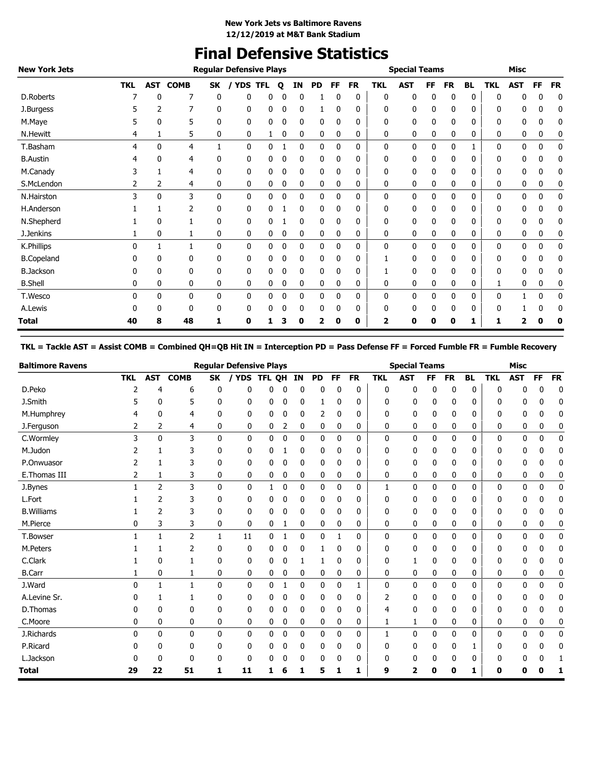# **Final Defensive Statistics**

| <b>New York Jets</b> |            |              |             |              | <b>Regular Defensive Plays</b> |            |   |             |              |              |           |              | <b>Special Teams</b> |    |              |              |              | <b>Misc</b> |             |           |
|----------------------|------------|--------------|-------------|--------------|--------------------------------|------------|---|-------------|--------------|--------------|-----------|--------------|----------------------|----|--------------|--------------|--------------|-------------|-------------|-----------|
|                      | <b>TKL</b> | <b>AST</b>   | <b>COMB</b> | SK           | <b>YDS</b>                     | <b>TFL</b> | O | ΙN          | <b>PD</b>    | FF           | <b>FR</b> | <b>TKL</b>   | <b>AST</b>           | FF | <b>FR</b>    | <b>BL</b>    | <b>TKL</b>   | <b>AST</b>  | FF          | <b>FR</b> |
| D.Roberts            |            | 0            |             | 0            | 0                              | 0          |   | 0           |              | 0            | 0         | 0            | 0                    | 0  | 0            | 0            | 0            | 0           | 0           | 0         |
| J.Burgess            |            | 2            |             | 0            | 0                              | 0          | 0 | 0           |              | 0            | 0         | 0            | 0                    | 0  | 0            | 0            | 0            | 0           | 0           | 0         |
| M.Maye               |            | 0            | 5           | 0            | 0                              | 0          | 0 | 0           | 0            | 0            | 0         | 0            | 0                    | 0  | 0            | 0            | 0            | 0           | 0           | 0         |
| <b>N.Hewitt</b>      | 4          | 1            | 5           | 0            | 0                              |            | 0 | 0           | 0            | 0            | 0         | 0            | 0                    | 0  | 0            | 0            | 0            | 0           | 0           | 0         |
| T.Basham             | 4          | 0            | 4           |              | $\mathbf{0}$                   | 0          |   | $\mathbf 0$ | $\mathbf{0}$ | 0            | 0         | $\mathbf{0}$ | 0                    | 0  | 0            | 1            | $\mathbf{0}$ | 0           | $\mathbf 0$ | 0         |
| <b>B.Austin</b>      |            | 0            | 4           | 0            | 0                              | 0          |   | 0           | 0            | 0            | 0         | 0            | 0                    | 0  | 0            | 0            | 0            | 0           | 0           | 0         |
| M.Canady             |            |              | 4           | 0            | 0                              | 0          |   | 0           | 0            | 0            | 0         | 0            | 0                    | 0  | 0            | 0            | 0            | 0           | 0           | 0         |
| S.McLendon           | 2          | 2            | 4           | 0            | 0                              | 0          | 0 | 0           | 0            | 0            | 0         | 0            | 0                    | 0  | 0            | 0            | 0            | 0           | 0           | 0         |
| N.Hairston           | 3          | $\mathbf{0}$ | 3           | $\mathbf{0}$ | $\mathbf{0}$                   | 0          | 0 | $\mathbf 0$ | 0            | $\mathbf{0}$ | 0         | 0            | 0                    | 0  | $\mathbf{0}$ | $\mathbf{0}$ | $\mathbf{0}$ | 0           | 0           | 0         |
| H.Anderson           |            |              | 2           | 0            | 0                              | 0          |   | 0           | 0            | 0            | 0         | 0            | 0                    | 0  | 0            | 0            | 0            | 0           | 0           | 0         |
| N.Shepherd           |            | 0            |             | 0            | 0                              | 0          |   | 0           | 0            | 0            | 0         | 0            | 0                    | 0  | 0            | 0            | 0            | 0           | 0           | 0         |
| J.Jenkins            |            | 0            |             | 0            | 0                              | 0          | 0 | 0           | 0            | 0            | 0         | 0            | 0                    | 0  | 0            | 0            | 0            | 0           | 0           | 0         |
| K.Phillips           | 0          |              |             | $\mathbf{0}$ | $\mathbf{0}$                   | 0          | 0 | $\mathbf 0$ | 0            | 0            | 0         | $\mathbf{0}$ | 0                    | 0  | 0            | 0            | 0            | 0           | 0           | 0         |
| <b>B.Copeland</b>    |            | 0            | 0           | 0            | 0                              | 0          |   | 0           | 0            | 0            | 0         |              | 0                    | 0  | 0            | 0            | 0            | 0           | 0           | 0         |
| <b>B.Jackson</b>     |            | 0            | 0           | 0            | 0                              | 0          |   | 0           | 0            | 0            | 0         |              | 0                    | 0  | 0            | 0            | 0            | 0           | 0           | 0         |
| <b>B.Shell</b>       | 0          | 0            | 0           | 0            | 0                              | 0          | 0 | 0           | 0            | 0            | 0         | 0            | 0                    | 0  | 0            | 0            | 1            | 0           | 0           | 0         |
| T.Wesco              | 0          | 0            | 0           | 0            | 0                              | 0          | 0 | $\mathbf 0$ | 0            | 0            | 0         | 0            | 0                    | 0  | 0            | 0            | 0            |             | $\mathbf 0$ | 0         |
| A.Lewis              |            | 0            | 0           | 0            | 0                              | 0          | 0 | 0           | 0            | 0            | 0         | 0            | 0                    | 0  | 0            | 0            | 0            |             | 0           | 0         |
| Total                | 40         | 8            | 48          | 1            | 0                              |            |   | 0           | 2            | 0            | 0         | 2            | O                    | o  | 0            | 1            | 1            |             |             |           |

### **TKL = Tackle AST = Assist COMB = Combined QH=QB Hit IN = Interception PD = Pass Defense FF = Forced Fumble FR = Fumble Recovery**

| <b>Baltimore Ravens</b> |            |              |                |              | <b>Regular Defensive Plays</b> |        |             |    |           |           |           |              | <b>Special Teams</b> |              |              |              |            | <b>Misc</b>  |              |              |
|-------------------------|------------|--------------|----------------|--------------|--------------------------------|--------|-------------|----|-----------|-----------|-----------|--------------|----------------------|--------------|--------------|--------------|------------|--------------|--------------|--------------|
|                         | <b>TKL</b> | <b>AST</b>   | <b>COMB</b>    | <b>SK</b>    | / YDS                          | TFL OH |             | IN | <b>PD</b> | <b>FF</b> | <b>FR</b> | <b>TKL</b>   | <b>AST</b>           | <b>FF</b>    | <b>FR</b>    | <b>BL</b>    | <b>TKL</b> | <b>AST</b>   | <b>FF</b>    | <b>FR</b>    |
| D.Peko                  | 2          | 4            | 6              | 0            | 0                              | 0      | 0           | 0  | 0         | 0         | 0         | 0            | 0                    | 0            | 0            | 0            | 0          | 0            | 0            | $\mathbf 0$  |
| J.Smith                 |            | 0            | 5              | 0            | 0                              | 0      | 0           | 0  | 1         | 0         | 0         | 0            | 0                    | 0            | 0            | 0            | ŋ          | 0            | 0            | 0            |
| M.Humphrey              | 4          | 0            | 4              | 0            | 0                              | 0      | 0           | 0  | 2         | 0         | 0         | 0            | 0                    | 0            | 0            | 0            | 0          | 0            | 0            | 0            |
| J.Ferguson              | 2          | 2            | 4              | 0            | 0                              | 0      | 2           | 0  | 0         | 0         | 0         | 0            | 0                    | 0            | 0            | 0            | 0          | 0            | 0            | 0            |
| C.Wormley               | 3          | 0            | 3              | 0            | 0                              | 0      | $\mathbf 0$ | 0  | 0         | 0         | 0         | 0            | 0                    | 0            | 0            | 0            | 0          | 0            | 0            | 0            |
| M.Judon                 |            | 1            | 3              | 0            | 0                              | 0      | 1           | 0  | 0         | 0         | 0         | 0            | 0                    | 0            | 0            | 0            | 0          | 0            | ŋ            | 0            |
| P.Onwuasor              |            |              | 3              | 0            | 0                              | 0      | 0           | 0  | 0         | 0         | 0         | 0            | 0                    | 0            | 0            | 0            | 0          | 0            | 0            | 0            |
| E.Thomas III            | 2          | 1            | 3              | 0            | 0                              | 0      | 0           | 0  | 0         | 0         | 0         | 0            | 0                    | 0            | 0            | 0            | 0          | 0            | 0            | 0            |
| J.Bynes                 |            | 2            | 3              | $\mathbf{0}$ | $\mathbf{0}$                   | 1      | $\bf{0}$    | 0  | 0         | 0         | 0         | $\mathbf{1}$ | 0                    | 0            | $\mathbf{0}$ | $\mathbf{0}$ | 0          | $\mathbf{0}$ | 0            | $\mathbf{0}$ |
| L.Fort                  |            | 2            | 3              | 0            | 0                              | 0      | 0           | 0  | 0         | 0         | 0         | 0            | 0                    | 0            | 0            | 0            | 0          | 0            | 0            | 0            |
| <b>B.Williams</b>       |            | 2            | 3              | 0            | 0                              | 0      | 0           | 0  | 0         | 0         | 0         | 0            | 0                    | 0            | 0            | 0            | 0          | 0            | 0            | 0            |
| M.Pierce                | 0          | 3            | 3              | 0            | 0                              | 0      | 1           | 0  | 0         | 0         | 0         | 0            | 0                    | 0            | 0            | 0            | 0          | 0            | 0            | 0            |
| T.Bowser                | 1          | $\mathbf{1}$ | $\overline{2}$ | $\mathbf{1}$ | 11                             | 0      | 1           | 0  | 0         | 1         | 0         | 0            | 0                    | $\mathbf{0}$ | $\mathbf{0}$ | $\mathbf{0}$ | 0          | $\mathbf{0}$ | $\mathbf{0}$ | $\mathbf 0$  |
| M.Peters                |            | 1            | 2              | 0            | 0                              | 0      | 0           | 0  | 1         | 0         | 0         | 0            | 0                    | 0            | 0            | 0            | 0          | 0            | n            | 0            |
| C.Clark                 |            | 0            | 1              | 0            | 0                              | 0      | 0           | 1  | 1         | 0         | 0         | 0            | 1                    | 0            | 0            | 0            | 0          | 0            | 0            | 0            |
| <b>B.Carr</b>           |            | 0            | 1              | 0            | 0                              | 0      | 0           | 0  | 0         | 0         | 0         | 0            | 0                    | 0            | 0            | 0            | 0          | 0            | 0            | 0            |
| J.Ward                  | $\Omega$   | $\mathbf{1}$ | $\mathbf{1}$   | 0            | $\mathbf{0}$                   | 0      | 1           | 0  | 0         | 0         | 1         | 0            | 0                    | 0            | $\mathbf{0}$ | $\mathbf{0}$ | 0          | $\mathbf{0}$ | 0            | 0            |
| A.Levine Sr.            | n          | 1            | 1              | 0            | 0                              | 0      | 0           | 0  | 0         | 0         | 0         | 2            | 0                    | 0            | 0            | 0            | 0          | 0            | ŋ            | 0            |
| D.Thomas                | 0          | 0            | 0              | 0            | 0                              | 0      | 0           | 0  | 0         | 0         | 0         | 4            | 0                    | 0            | 0            | 0            | 0          | 0            | 0            | 0            |
| C.Moore                 | 0          | 0            | 0              | 0            | 0                              | 0      | 0           | 0  | 0         | 0         | 0         | 1            | 1                    | 0            | 0            | 0            | 0          | 0            | 0            | 0            |
| J.Richards              | 0          | $\mathbf{0}$ | $\mathbf{0}$   | 0            | $\mathbf{0}$                   | 0      | $\bf{0}$    | 0  | 0         | 0         | 0         | $\mathbf{1}$ | 0                    | 0            | $\mathbf{0}$ | 0            | 0          | 0            | $\mathbf{0}$ | 0            |
| P.Ricard                | 0          | $\Omega$     | 0              | 0            | 0                              | 0      | 0           | 0  | 0         | 0         | 0         | 0            | 0                    | 0            | 0            | 1            | 0          | 0            |              | 0            |
| L.Jackson               | O          | U            | 0              | 0            | 0                              | U      | 0           | 0  | 0         | 0         | 0         | O            | 0                    | 0            | 0            | 0            | 0          | 0            |              |              |
| <b>Total</b>            | 29         | 22           | 51             | 1            | 11                             | 1      | 6           | 1  | 5         | 1         | 1         | 9            | $\overline{2}$       | 0            | 0            | 1            | 0          | 0            | 0            |              |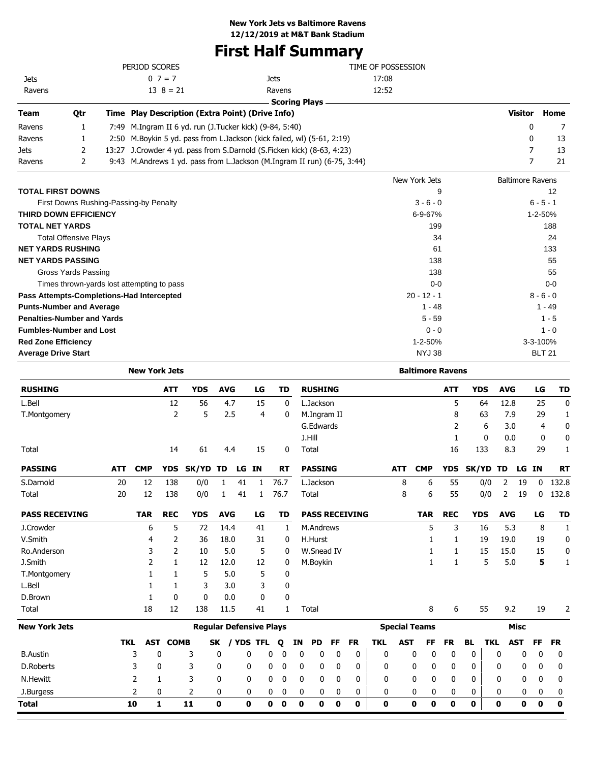# **First Half Summary**

|             |     | PERIOD SCORES                                           |                                                                          | TIME OF POSSESSION |                |      |
|-------------|-----|---------------------------------------------------------|--------------------------------------------------------------------------|--------------------|----------------|------|
| <b>Jets</b> |     | $0 \ 7 = 7$                                             | Jets                                                                     | 17:08              |                |      |
| Ravens      |     | $13 \ 8 = 21$                                           | Ravens                                                                   | 12:52              |                |      |
|             |     |                                                         | - Scoring Plays                                                          |                    |                |      |
| <b>Team</b> | 0tr | Time Play Description (Extra Point) (Drive Info)        |                                                                          |                    | <b>Visitor</b> | Home |
| Ravens      |     | 7:49 M.Ingram II 6 yd. run (J.Tucker kick) (9-84, 5:40) |                                                                          |                    |                | 7    |
| Ravens      |     |                                                         | 2:50 M. Boykin 5 yd. pass from L. Jackson (kick failed, wl) (5-61, 2:19) |                    | 0              | 13   |
| <b>Jets</b> |     |                                                         | 13:27 J.Crowder 4 yd. pass from S.Darnold (S.Ficken kick) (8-63, 4:23)   |                    |                | 13   |
| Ravens      |     |                                                         | 9:43 M.Andrews 1 yd. pass from L.Jackson (M.Ingram II run) (6-75, 3:44)  |                    |                | 21   |
|             |     |                                                         |                                                                          |                    |                |      |

|                                            | New York Jets | <b>Baltimore Ravens</b> |
|--------------------------------------------|---------------|-------------------------|
| <b>TOTAL FIRST DOWNS</b>                   | 9             | 12                      |
| First Downs Rushing-Passing-by Penalty     | $3 - 6 - 0$   | $6 - 5 - 1$             |
| <b>THIRD DOWN EFFICIENCY</b>               | $6 - 9 - 67%$ | $1 - 2 - 50%$           |
| <b>TOTAL NET YARDS</b>                     | 199           | 188                     |
| <b>Total Offensive Plays</b>               | 34            | 24                      |
| <b>NET YARDS RUSHING</b>                   | 61            | 133                     |
| <b>NET YARDS PASSING</b>                   | 138           | 55                      |
| Gross Yards Passing                        | 138           | 55                      |
| Times thrown-yards lost attempting to pass | $0 - 0$       | $0-0$                   |
| Pass Attempts-Completions-Had Intercepted  | $20 - 12 - 1$ | $8 - 6 - 0$             |
| <b>Punts-Number and Average</b>            | $1 - 48$      | $1 - 49$                |
| <b>Penalties-Number and Yards</b>          | $5 - 59$      | $1 - 5$                 |
| <b>Fumbles-Number and Lost</b>             | $0 - 0$       | $1 - 0$                 |
| <b>Red Zone Efficiency</b>                 | $1 - 2 - 50%$ | 3-3-100%                |
| <b>Average Drive Start</b>                 | <b>NYJ 38</b> | <b>BLT 21</b>           |

|                       |            | <b>New York Jets</b> |             |                                |            |           |           |           |              |                       |           |              |              |                      | <b>Baltimore Ravens</b> |            |              |              |            |             |              |             |
|-----------------------|------------|----------------------|-------------|--------------------------------|------------|-----------|-----------|-----------|--------------|-----------------------|-----------|--------------|--------------|----------------------|-------------------------|------------|--------------|--------------|------------|-------------|--------------|-------------|
| <b>RUSHING</b>        |            |                      | <b>ATT</b>  | <b>YDS</b>                     | <b>AVG</b> |           | LG        | <b>TD</b> |              | <b>RUSHING</b>        |           |              |              |                      |                         | <b>ATT</b> | <b>YDS</b>   |              | <b>AVG</b> |             | LG           | <b>TD</b>   |
| L.Bell                |            |                      | 12          | 56                             | 4.7        |           | 15        |           | $\mathbf{0}$ | L.Jackson             |           |              |              |                      |                         | 5          |              | 64           | 12.8       |             | 25           | $\Omega$    |
| T.Montgomery          |            |                      | 2           | 5                              | 2.5        |           | 4         |           | 0            | M.Ingram II           |           |              |              |                      |                         | 8          |              | 63           | 7.9        |             | 29           | 1           |
|                       |            |                      |             |                                |            |           |           |           |              | G.Edwards             |           |              |              |                      |                         | 2          |              | 6            | 3.0        |             | 4            | $\mathbf 0$ |
|                       |            |                      |             |                                |            |           |           |           |              | J.Hill                |           |              |              |                      |                         | 1          |              | $\mathbf{0}$ | 0.0        |             | 0            | $\mathbf 0$ |
| Total                 |            |                      | 14          | 61                             | 4.4        |           | 15        |           | 0            | Total                 |           |              |              |                      |                         | 16         | 133          |              | 8.3        |             | 29           | 1           |
| <b>PASSING</b>        | <b>ATT</b> | <b>CMP</b>           | <b>YDS</b>  | SK/YD                          | TD         | LG        | <b>IN</b> | <b>RT</b> |              | <b>PASSING</b>        |           |              |              | <b>ATT</b>           | <b>CMP</b>              | <b>YDS</b> | SK/YD        |              | TD         | LG IN       |              | <b>RT</b>   |
| S.Darnold             | 20         | 12                   | 138         | 0/0                            | 1          | 41        | 1         | 76.7      |              | L.Jackson             |           |              |              | 8                    | 6                       | 55         |              | 0/0          | 2          | 19          | $\mathbf{0}$ | 132.8       |
| Total                 | 20         | 12                   | 138         | 0/0                            | 1          | 41        | 1         | 76.7      |              | Total                 |           |              |              | 8                    | 6                       | 55         |              | 0/0          | 2          | 19          | $\mathbf{0}$ | 132.8       |
| <b>PASS RECEIVING</b> |            | <b>TAR</b>           | <b>REC</b>  | <b>YDS</b>                     | <b>AVG</b> |           | LG        | TD        |              | <b>PASS RECEIVING</b> |           |              |              |                      | <b>TAR</b>              | <b>REC</b> | <b>YDS</b>   |              | <b>AVG</b> |             | LG           | <b>TD</b>   |
| J.Crowder             |            | 6                    | 5           | 72                             | 14.4       |           | 41        |           | 1            | M.Andrews             |           |              |              |                      | 5                       | 3          |              | 16           | 5.3        |             | 8            | 1           |
| V.Smith               |            | 4                    | 2           | 36                             | 18.0       |           | 31        |           | 0            | H.Hurst               |           |              |              |                      |                         | 1          |              | 19           | 19.0       |             | 19           | 0           |
| Ro.Anderson           |            | 3                    | 2           | 10                             | 5.0        |           | 5         |           | 0            | W.Snead IV            |           |              |              |                      | 1                       | 1          |              | 15           | 15.0       |             | 15           | 0           |
| J.Smith               |            | 2                    | 1           | 12                             | 12.0       |           | 12        |           | 0            | M.Boykin              |           |              |              |                      | 1                       | 1          |              | 5            | 5.0        |             | 5            | 1           |
| T.Montgomery          |            | 1                    | 1           | 5                              | 5.0        |           | 5         |           | 0            |                       |           |              |              |                      |                         |            |              |              |            |             |              |             |
| L.Bell                |            |                      | 1           | 3                              | 3.0        |           | 3         |           | 0            |                       |           |              |              |                      |                         |            |              |              |            |             |              |             |
| D.Brown               |            |                      | 0           | 0                              | 0.0        |           | 0         |           | 0            |                       |           |              |              |                      |                         |            |              |              |            |             |              |             |
| Total                 |            | 18                   | 12          | 138                            | 11.5       |           | 41        |           | 1            | Total                 |           |              |              |                      | 8                       | 6          |              | 55           | 9.2        |             | 19           | 2           |
| <b>New York Jets</b>  |            |                      |             | <b>Regular Defensive Plays</b> |            |           |           |           |              |                       |           |              |              | <b>Special Teams</b> |                         |            |              |              |            | <b>Misc</b> |              |             |
|                       | <b>TKL</b> | AST                  | <b>COMB</b> |                                | <b>SK</b>  | / YDS TFL |           | Q         | IN           | <b>PD</b>             | <b>FF</b> | <b>FR</b>    | <b>TKL</b>   | <b>AST</b>           | <b>FF</b>               | <b>FR</b>  | <b>BL</b>    | <b>TKL</b>   | <b>AST</b> |             | <b>FF</b>    | <b>FR</b>   |
| <b>B.Austin</b>       |            | 3                    | 0           | 3                              | 0          | 0         |           | 0<br>0    |              | 0<br>0                | 0         | $\mathbf{0}$ | $\mathbf{0}$ | 0                    | 0                       | 0          | $\mathbf{0}$ |              | 0          | 0           | 0            | 0           |
| <b>D.Roberts</b>      |            | 3                    | 0           | 3                              | 0          | 0         |           | 0<br>0    |              | 0<br>0                | 0         | 0            | 0            | 0                    | 0                       | 0          | 0            |              | 0          | 0           | 0            | 0           |
| N.Hewitt              |            | 2                    | 1           | 3                              | 0          | 0         |           | 0         | 0            | 0<br>0                | 0         | 0            | 0            |                      | 0<br>0                  | 0          | 0            |              | 0          | 0           | 0            | 0           |
| J.Burgess             |            | 2                    | 0           | 2                              | 0          | 0         |           | 0<br>0    |              | 0<br>0                | 0         | 0            | 0            | 0                    | 0                       | 0          | 0            |              | 0          | 0           | 0            | 0           |
| <b>Total</b>          |            | 10                   | 1           | 11                             | 0          | 0         |           | 0<br>0    |              | 0<br>0                | 0         | 0            | $\mathbf 0$  | 0                    | 0                       | 0          | 0            |              | 0          | 0           | $\bf{0}$     | $\mathbf 0$ |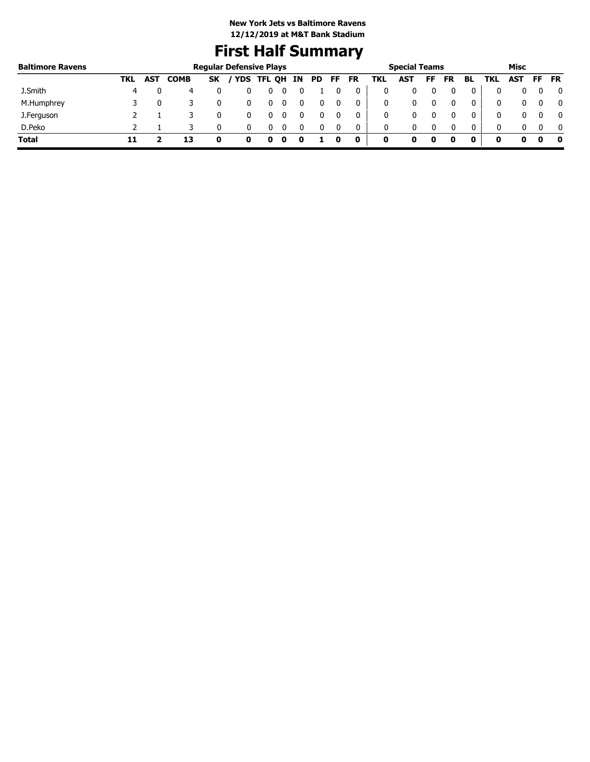# **First Half Summary**

| <b>Baltimore Ravens</b> |     |            |             | <b>Regular Defensive Plays</b> |            |   |    |     |    |           |     | <b>Special Teams</b> |    |    |              |     | Misc |     |              |
|-------------------------|-----|------------|-------------|--------------------------------|------------|---|----|-----|----|-----------|-----|----------------------|----|----|--------------|-----|------|-----|--------------|
|                         | TKL | <b>AST</b> | <b>COMB</b> | <b>SK</b>                      | YDS TFL QH |   | IN | PD. | FF | <b>FR</b> | TKL | AST                  | FF | FR | BL           | TKL | AST  | FF. | <b>FR</b>    |
| J.Smith                 | 4   |            | 4           |                                |            | υ |    |     |    |           |     |                      |    |    |              |     |      |     | 0            |
| M.Humphrey              |     |            |             |                                |            | 0 |    |     |    | 0         | 0   |                      |    |    |              | 0   |      |     | 0            |
| J.Ferguson              |     |            |             |                                |            | U |    |     |    |           |     |                      |    |    |              | 0   |      |     | $\mathbf{0}$ |
| D.Peko                  |     |            |             |                                |            |   |    |     |    |           | 0   | 0                    |    |    | $\mathbf{0}$ | 0   |      |     | $\mathbf{0}$ |
| <b>Total</b>            |     |            |             |                                |            |   |    |     |    | 0         | 0   |                      | o  |    |              |     |      |     | - 0          |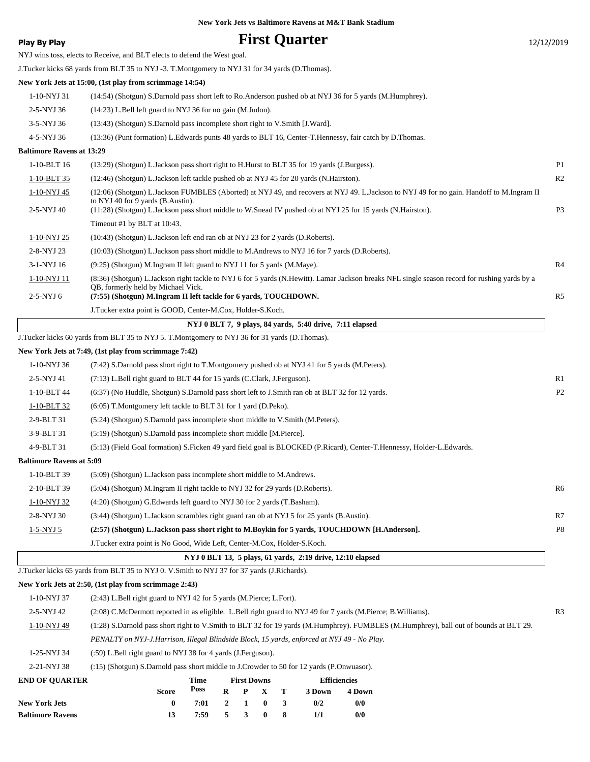|  |  |  |  | New York Jets vs Baltimore Ravens at M&T Bank Stadium |  |  |  |  |
|--|--|--|--|-------------------------------------------------------|--|--|--|--|
|--|--|--|--|-------------------------------------------------------|--|--|--|--|

| Play By Play                     |                                                                                                                                                 |              |                  |                         |          |   | <b>First Quarter</b>                                       |                               |                                                                                                                                               | 12/12/2019     |
|----------------------------------|-------------------------------------------------------------------------------------------------------------------------------------------------|--------------|------------------|-------------------------|----------|---|------------------------------------------------------------|-------------------------------|-----------------------------------------------------------------------------------------------------------------------------------------------|----------------|
|                                  | NYJ wins toss, elects to Receive, and BLT elects to defend the West goal.                                                                       |              |                  |                         |          |   |                                                            |                               |                                                                                                                                               |                |
|                                  | J.Tucker kicks 68 yards from BLT 35 to NYJ -3. T.Montgomery to NYJ 31 for 34 yards (D.Thomas).                                                  |              |                  |                         |          |   |                                                            |                               |                                                                                                                                               |                |
|                                  | New York Jets at 15:00, (1st play from scrimmage 14:54)                                                                                         |              |                  |                         |          |   |                                                            |                               |                                                                                                                                               |                |
| 1-10-NYJ 31                      | (14:54) (Shotgun) S.Darnold pass short left to Ro.Anderson pushed ob at NYJ 36 for 5 yards (M.Humphrey).                                        |              |                  |                         |          |   |                                                            |                               |                                                                                                                                               |                |
| 2-5-NYJ 36                       | $(14:23)$ L.Bell left guard to NYJ 36 for no gain (M.Judon).                                                                                    |              |                  |                         |          |   |                                                            |                               |                                                                                                                                               |                |
| 3-5-NYJ 36                       | (13:43) (Shotgun) S.Darnold pass incomplete short right to V.Smith [J.Ward].                                                                    |              |                  |                         |          |   |                                                            |                               |                                                                                                                                               |                |
| 4-5-NYJ 36                       | (13:36) (Punt formation) L.Edwards punts 48 yards to BLT 16, Center-T.Hennessy, fair catch by D.Thomas.                                         |              |                  |                         |          |   |                                                            |                               |                                                                                                                                               |                |
| <b>Baltimore Ravens at 13:29</b> |                                                                                                                                                 |              |                  |                         |          |   |                                                            |                               |                                                                                                                                               |                |
| 1-10-BLT 16                      | (13:29) (Shotgun) L.Jackson pass short right to H.Hurst to BLT 35 for 19 yards (J.Burgess).                                                     |              |                  |                         |          |   |                                                            |                               |                                                                                                                                               | P1             |
| 1-10-BLT 35                      | (12:46) (Shotgun) L.Jackson left tackle pushed ob at NYJ 45 for 20 yards (N.Hairston).                                                          |              |                  |                         |          |   |                                                            |                               |                                                                                                                                               | R2             |
| 1-10-NYJ 45                      |                                                                                                                                                 |              |                  |                         |          |   |                                                            |                               | (12:06) (Shotgun) L.Jackson FUMBLES (Aborted) at NYJ 49, and recovers at NYJ 49. L.Jackson to NYJ 49 for no gain. Handoff to M.Ingram II      |                |
| 2-5-NYJ 40                       | to NYJ 40 for 9 yards (B.Austin).<br>(11:28) (Shotgun) L.Jackson pass short middle to W.Snead IV pushed ob at NYJ 25 for 15 yards (N.Hairston). |              |                  |                         |          |   |                                                            |                               |                                                                                                                                               | P <sub>3</sub> |
|                                  | Timeout #1 by BLT at 10:43.                                                                                                                     |              |                  |                         |          |   |                                                            |                               |                                                                                                                                               |                |
| 1-10-NYJ 25                      | (10:43) (Shotgun) L. Jackson left end ran ob at NYJ 23 for 2 yards (D. Roberts).                                                                |              |                  |                         |          |   |                                                            |                               |                                                                                                                                               |                |
| 2-8-NYJ 23                       | (10:03) (Shotgun) L.Jackson pass short middle to M.Andrews to NYJ 16 for 7 yards (D.Roberts).                                                   |              |                  |                         |          |   |                                                            |                               |                                                                                                                                               |                |
| 3-1-NYJ 16                       | (9:25) (Shotgun) M.Ingram II left guard to NYJ 11 for 5 yards (M.Maye).                                                                         |              |                  |                         |          |   |                                                            |                               |                                                                                                                                               | R4             |
| <u>1-10-NYJ 11</u>               |                                                                                                                                                 |              |                  |                         |          |   |                                                            |                               | (8:36) (Shotgun) L.Jackson right tackle to NYJ 6 for 5 yards (N.Hewitt). Lamar Jackson breaks NFL single season record for rushing yards by a |                |
| 2-5-NYJ 6                        | QB, formerly held by Michael Vick.<br>(7:55) (Shotgun) M.Ingram II left tackle for 6 yards, TOUCHDOWN.                                          |              |                  |                         |          |   |                                                            |                               |                                                                                                                                               | R <sub>5</sub> |
|                                  | J.Tucker extra point is GOOD, Center-M.Cox, Holder-S.Koch.                                                                                      |              |                  |                         |          |   |                                                            |                               |                                                                                                                                               |                |
|                                  |                                                                                                                                                 |              |                  |                         |          |   | NYJ 0 BLT 7, 9 plays, 84 yards, 5:40 drive, 7:11 elapsed   |                               |                                                                                                                                               |                |
|                                  | J.Tucker kicks 60 yards from BLT 35 to NYJ 5. T.Montgomery to NYJ 36 for 31 yards (D.Thomas).                                                   |              |                  |                         |          |   |                                                            |                               |                                                                                                                                               |                |
|                                  | New York Jets at 7:49, (1st play from scrimmage 7:42)                                                                                           |              |                  |                         |          |   |                                                            |                               |                                                                                                                                               |                |
| 1-10-NYJ 36                      | (7:42) S.Darnold pass short right to T.Montgomery pushed ob at NYJ 41 for 5 yards (M.Peters).                                                   |              |                  |                         |          |   |                                                            |                               |                                                                                                                                               |                |
| 2-5-NYJ 41                       | (7:13) L.Bell right guard to BLT 44 for 15 yards (C.Clark, J.Ferguson).                                                                         |              |                  |                         |          |   |                                                            |                               |                                                                                                                                               | R1             |
| 1-10-BLT 44                      | (6:37) (No Huddle, Shotgun) S.Darnold pass short left to J.Smith ran ob at BLT 32 for 12 yards.                                                 |              |                  |                         |          |   |                                                            |                               |                                                                                                                                               | P2             |
| 1-10-BLT 32                      | (6:05) T.Montgomery left tackle to BLT 31 for 1 yard (D.Peko).                                                                                  |              |                  |                         |          |   |                                                            |                               |                                                                                                                                               |                |
| 2-9-BLT 31                       | (5:24) (Shotgun) S.Darnold pass incomplete short middle to V.Smith (M.Peters).                                                                  |              |                  |                         |          |   |                                                            |                               |                                                                                                                                               |                |
| 3-9-BLT 31                       | (5:19) (Shotgun) S.Darnold pass incomplete short middle [M.Pierce].                                                                             |              |                  |                         |          |   |                                                            |                               |                                                                                                                                               |                |
| 4-9-BLT 31                       |                                                                                                                                                 |              |                  |                         |          |   |                                                            |                               | (5:13) (Field Goal formation) S.Ficken 49 yard field goal is BLOCKED (P.Ricard), Center-T.Hennessy, Holder-L.Edwards.                         |                |
| <b>Baltimore Ravens at 5:09</b>  |                                                                                                                                                 |              |                  |                         |          |   |                                                            |                               |                                                                                                                                               |                |
| 1-10-BLT 39                      | (5:09) (Shotgun) L.Jackson pass incomplete short middle to M.Andrews.                                                                           |              |                  |                         |          |   |                                                            |                               |                                                                                                                                               |                |
| 2-10-BLT 39                      | (5:04) (Shotgun) M.Ingram II right tackle to NYJ 32 for 29 yards (D.Roberts).                                                                   |              |                  |                         |          |   |                                                            |                               |                                                                                                                                               | R6             |
| 1-10-NYJ 32                      | (4:20) (Shotgun) G. Edwards left guard to NYJ 30 for 2 yards (T. Basham).                                                                       |              |                  |                         |          |   |                                                            |                               |                                                                                                                                               |                |
| 2-8-NYJ 30                       | (3:44) (Shotgun) L.Jackson scrambles right guard ran ob at NYJ 5 for 25 yards (B.Austin).                                                       |              |                  |                         |          |   |                                                            |                               |                                                                                                                                               | R7             |
| $1-5-NYJ5$                       | (2:57) (Shotgun) L.Jackson pass short right to M.Boykin for 5 yards, TOUCHDOWN [H.Anderson].                                                    |              |                  |                         |          |   |                                                            |                               |                                                                                                                                               | P8             |
|                                  | J.Tucker extra point is No Good, Wide Left, Center-M.Cox, Holder-S.Koch.                                                                        |              |                  |                         |          |   |                                                            |                               |                                                                                                                                               |                |
|                                  |                                                                                                                                                 |              |                  |                         |          |   | NYJ 0 BLT 13, 5 plays, 61 yards, 2:19 drive, 12:10 elapsed |                               |                                                                                                                                               |                |
|                                  | J.Tucker kicks 65 yards from BLT 35 to NYJ 0. V.Smith to NYJ 37 for 37 yards (J.Richards).                                                      |              |                  |                         |          |   |                                                            |                               |                                                                                                                                               |                |
|                                  | New York Jets at 2:50, (1st play from scrimmage 2:43)                                                                                           |              |                  |                         |          |   |                                                            |                               |                                                                                                                                               |                |
| 1-10-NYJ 37                      | (2:43) L.Bell right guard to NYJ 42 for 5 yards (M.Pierce; L.Fort).                                                                             |              |                  |                         |          |   |                                                            |                               |                                                                                                                                               |                |
| 2-5-NYJ 42                       | (2:08) C.McDermott reported in as eligible. L.Bell right guard to NYJ 49 for 7 yards (M.Pierce; B.Williams).                                    |              |                  |                         |          |   |                                                            |                               |                                                                                                                                               | R3             |
| 1-10-NYJ 49                      |                                                                                                                                                 |              |                  |                         |          |   |                                                            |                               | (1:28) S.Darnold pass short right to V.Smith to BLT 32 for 19 yards (M.Humphrey). FUMBLES (M.Humphrey), ball out of bounds at BLT 29.         |                |
|                                  | PENALTY on NYJ-J.Harrison, Illegal Blindside Block, 15 yards, enforced at NYJ 49 - No Play.                                                     |              |                  |                         |          |   |                                                            |                               |                                                                                                                                               |                |
| 1-25-NYJ 34                      | (:59) L.Bell right guard to NYJ 38 for 4 yards (J.Ferguson).                                                                                    |              |                  |                         |          |   |                                                            |                               |                                                                                                                                               |                |
| 2-21-NYJ 38                      | (:15) (Shotgun) S.Darnold pass short middle to J.Crowder to 50 for 12 yards (P.Onwuasor).                                                       |              |                  |                         |          |   |                                                            |                               |                                                                                                                                               |                |
| <b>END OF QUARTER</b>            | <b>Score</b>                                                                                                                                    | Time<br>Poss | $\bf R$          | <b>First Downs</b><br>P | X        | т | 3 Down                                                     | <b>Efficiencies</b><br>4 Down |                                                                                                                                               |                |
| <b>New York Jets</b>             | $\bf{0}$                                                                                                                                        | 7:01         | $\boldsymbol{2}$ | 1                       | $\bf{0}$ | 3 | 0/2                                                        | 0/0                           |                                                                                                                                               |                |
| <b>Baltimore Ravens</b>          | 13                                                                                                                                              | 7:59         | 5                | $\mathbf{3}$            | $\bf{0}$ | 8 | 1/1                                                        | 0/0                           |                                                                                                                                               |                |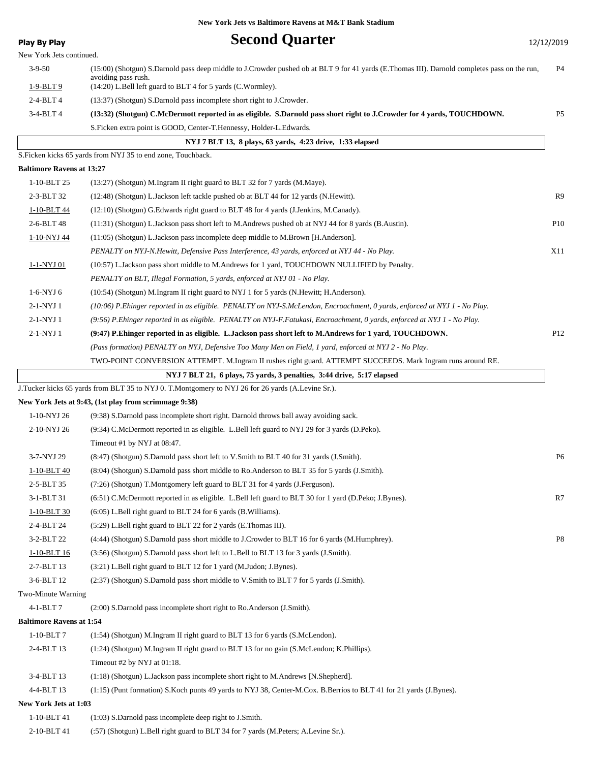| <b>Play By Play</b>              | <b>Second Quarter</b>                                                                                                                        | 12/12/2019      |
|----------------------------------|----------------------------------------------------------------------------------------------------------------------------------------------|-----------------|
| New York Jets continued.         |                                                                                                                                              |                 |
| $3-9-50$                         | (15:00) (Shotgun) S.Darnold pass deep middle to J.Crowder pushed ob at BLT 9 for 41 yards (E.Thomas III). Darnold completes pass on the run, | P4              |
| $1-9-BLT9$                       | avoiding pass rush.<br>(14:20) L.Bell left guard to BLT 4 for 5 yards (C.Wormley).                                                           |                 |
| $2-4-BLT4$                       | (13:37) (Shotgun) S.Darnold pass incomplete short right to J.Crowder.                                                                        |                 |
| 3-4-BLT 4                        | (13:32) (Shotgun) C.McDermott reported in as eligible. S.Darnold pass short right to J.Crowder for 4 yards, TOUCHDOWN.                       | P <sub>5</sub>  |
|                                  | S.Ficken extra point is GOOD, Center-T.Hennessy, Holder-L.Edwards.                                                                           |                 |
|                                  | NYJ 7 BLT 13, 8 plays, 63 yards, 4:23 drive, 1:33 elapsed                                                                                    |                 |
|                                  | S.Ficken kicks 65 yards from NYJ 35 to end zone, Touchback.                                                                                  |                 |
| <b>Baltimore Ravens at 13:27</b> |                                                                                                                                              |                 |
| 1-10-BLT 25                      | (13:27) (Shotgun) M.Ingram II right guard to BLT 32 for 7 yards (M.Maye).                                                                    |                 |
| 2-3-BLT 32                       | (12:48) (Shotgun) L.Jackson left tackle pushed ob at BLT 44 for 12 yards (N.Hewitt).                                                         | R9              |
| 1-10-BLT 44                      | (12:10) (Shotgun) G. Edwards right guard to BLT 48 for 4 yards (J. Jenkins, M. Canady).                                                      |                 |
| 2-6-BLT 48                       | (11:31) (Shotgun) L.Jackson pass short left to M.Andrews pushed ob at NYJ 44 for 8 yards (B.Austin).                                         | P <sub>10</sub> |
| 1-10-NYJ 44                      | (11:05) (Shotgun) L.Jackson pass incomplete deep middle to M.Brown [H.Anderson].                                                             |                 |
|                                  | PENALTY on NYJ-N.Hewitt, Defensive Pass Interference, 43 yards, enforced at NYJ 44 - No Play.                                                | X11             |
| 1-1-NYJ 01                       | (10:57) L.Jackson pass short middle to M.Andrews for 1 yard, TOUCHDOWN NULLIFIED by Penalty.                                                 |                 |
|                                  | PENALTY on BLT, Illegal Formation, 5 yards, enforced at NYJ 01 - No Play.                                                                    |                 |
| 1-6-NYJ 6                        | (10:54) (Shotgun) M.Ingram II right guard to NYJ 1 for 5 yards (N.Hewitt; H.Anderson).                                                       |                 |
| 2-1-NYJ 1                        | (10:06) P.Ehinger reported in as eligible. PENALTY on NYJ-S.McLendon, Encroachment, 0 yards, enforced at NYJ 1 - No Play.                    |                 |
| 2-1-NYJ 1                        | (9:56) P.Ehinger reported in as eligible. PENALTY on NYJ-F.Fatukasi, Encroachment, 0 yards, enforced at NYJ 1 - No Play.                     |                 |
| 2-1-NYJ 1                        | (9:47) P. Ehinger reported in as eligible. L. Jackson pass short left to M. Andrews for 1 yard, TOUCHDOWN.                                   | P <sub>12</sub> |
|                                  | (Pass formation) PENALTY on NYJ, Defensive Too Many Men on Field, 1 yard, enforced at NYJ 2 - No Play.                                       |                 |
|                                  | TWO-POINT CONVERSION ATTEMPT. M.Ingram II rushes right guard. ATTEMPT SUCCEEDS. Mark Ingram runs around RE.                                  |                 |
|                                  | NYJ 7 BLT 21, 6 plays, 75 yards, 3 penalties, 3:44 drive, 5:17 elapsed                                                                       |                 |
|                                  | J.Tucker kicks 65 yards from BLT 35 to NYJ 0. T.Montgomery to NYJ 26 for 26 yards (A.Levine Sr.).                                            |                 |
|                                  | New York Jets at 9:43, (1st play from scrimmage 9:38)                                                                                        |                 |
| 1-10-NYJ 26                      | (9:38) S.Darnold pass incomplete short right. Darnold throws ball away avoiding sack.                                                        |                 |
| 2-10-NYJ 26                      | (9:34) C.McDermott reported in as eligible. L.Bell left guard to NYJ 29 for 3 yards (D.Peko).                                                |                 |
|                                  | Timeout #1 by NYJ at 08:47.                                                                                                                  |                 |
| 3-7-NYJ 29                       | (8:47) (Shotgun) S.Darnold pass short left to V.Smith to BLT 40 for 31 yards (J.Smith).                                                      | P <sub>6</sub>  |
| 1-10-BLT 40                      | (8:04) (Shotgun) S.Darnold pass short middle to Ro.Anderson to BLT 35 for 5 yards (J.Smith).                                                 |                 |
| 2-5-BLT 35                       | (7:26) (Shotgun) T.Montgomery left guard to BLT 31 for 4 yards (J.Ferguson).                                                                 |                 |
| 3-1-BLT 31                       | (6:51) C.McDermott reported in as eligible. L.Bell left guard to BLT 30 for 1 yard (D.Peko; J.Bynes).                                        | R7              |
| $1-10-BLT30$                     | $(6:05)$ L.Bell right guard to BLT 24 for 6 yards (B.Williams).                                                                              |                 |
| 2-4-BLT 24                       | (5:29) L.Bell right guard to BLT 22 for 2 yards (E.Thomas III).                                                                              |                 |
| 3-2-BLT 22                       | (4:44) (Shotgun) S.Darnold pass short middle to J.Crowder to BLT 16 for 6 yards (M.Humphrey).                                                | P8              |
| $1 - 10 - BLT$ 16                | (3:56) (Shotgun) S.Darnold pass short left to L.Bell to BLT 13 for 3 yards (J.Smith).                                                        |                 |
| 2-7-BLT 13                       | (3:21) L.Bell right guard to BLT 12 for 1 yard (M.Judon; J.Bynes).                                                                           |                 |
| 3-6-BLT 12                       | (2:37) (Shotgun) S.Darnold pass short middle to V.Smith to BLT 7 for 5 yards (J.Smith).                                                      |                 |
| Two-Minute Warning               |                                                                                                                                              |                 |
| 4-1-BLT7                         | (2:00) S.Darnold pass incomplete short right to Ro.Anderson (J.Smith).                                                                       |                 |
| <b>Baltimore Ravens at 1:54</b>  |                                                                                                                                              |                 |
| $1-10-BLT7$                      | (1:54) (Shotgun) M.Ingram II right guard to BLT 13 for 6 yards (S.McLendon).                                                                 |                 |
| 2-4-BLT 13                       | (1:24) (Shotgun) M.Ingram II right guard to BLT 13 for no gain (S.McLendon; K.Phillips).                                                     |                 |
|                                  | Timeout #2 by NYJ at 01:18.                                                                                                                  |                 |
| 3-4-BLT 13                       | (1:18) (Shotgun) L.Jackson pass incomplete short right to M.Andrews [N.Shepherd].                                                            |                 |
| 4-4-BLT 13                       | (1:15) (Punt formation) S.Koch punts 49 yards to NYJ 38, Center-M.Cox. B.Berrios to BLT 41 for 21 yards (J.Bynes).                           |                 |
| New York Jets at 1:03            |                                                                                                                                              |                 |
| 1-10-BLT 41                      | (1:03) S.Darnold pass incomplete deep right to J.Smith.                                                                                      |                 |
|                                  |                                                                                                                                              |                 |

2-10-BLT 41 (:57) (Shotgun) L.Bell right guard to BLT 34 for 7 yards (M.Peters; A.Levine Sr.).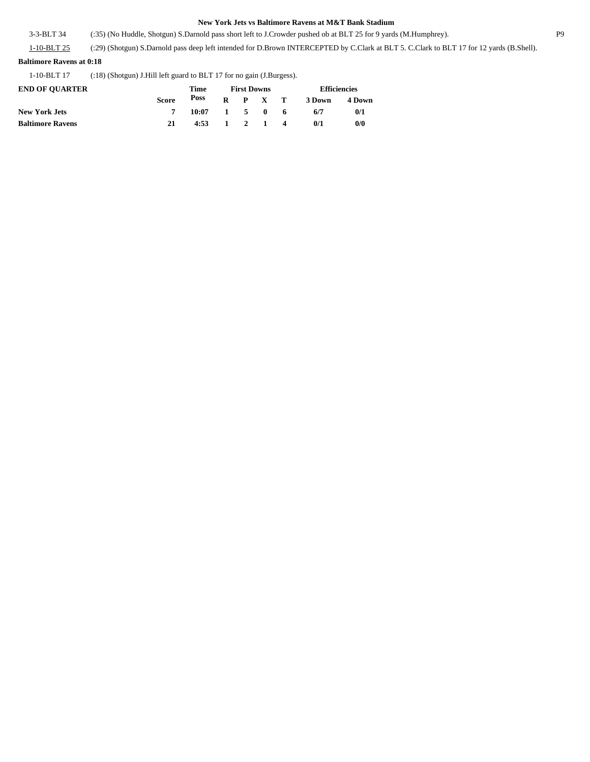3-3-BLT 34 (:35) (No Huddle, Shotgun) S.Darnold pass short left to J.Crowder pushed ob at BLT 25 for 9 yards (M.Humphrey). P9

1-10-BLT 25 (:29) (Shotgun) S.Darnold pass deep left intended for D.Brown INTERCEPTED by C.Clark at BLT 5. C.Clark to BLT 17 for 12 yards (B.Shell).

### **Baltimore Ravens at 0:18**

1-10-BLT 17 (:18) (Shotgun) J.Hill left guard to BLT 17 for no gain (J.Burgess).

| <b>END OF OUARTER</b>   |       | Time            | <b>First Downs</b> |  |                 |  | <b>Efficiencies</b> |               |  |
|-------------------------|-------|-----------------|--------------------|--|-----------------|--|---------------------|---------------|--|
|                         | Score | Poss            |                    |  | $R$ $P$ $X$ $T$ |  | 3 Down              | <b>4 Down</b> |  |
| <b>New York Jets</b>    |       | $10:07$ 1 5 0 6 |                    |  |                 |  | 6/7                 | 0/1           |  |
| <b>Baltimore Ravens</b> | 21    | $4:53$ 1 2 1 4  |                    |  |                 |  | 0/1                 | 0/0           |  |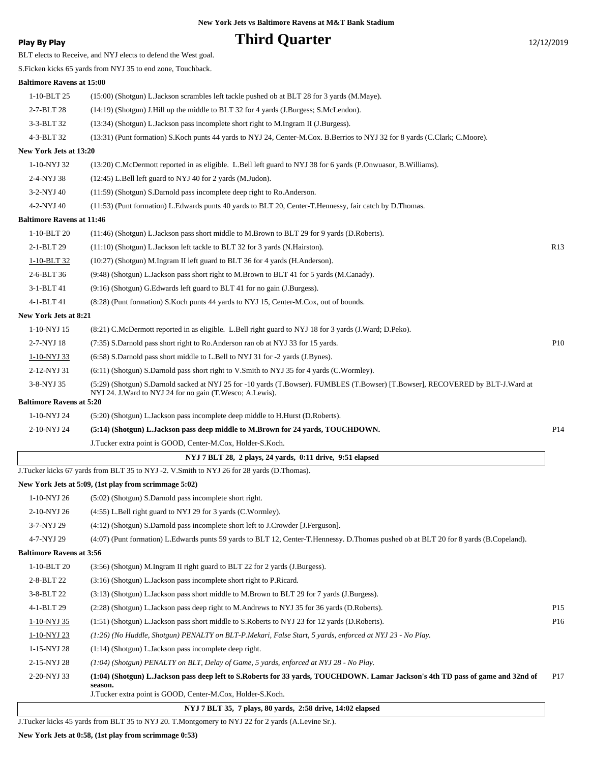## **Play By Play Play Play Play Play By Play Third Quarter** 12/12/2019

BLT elects to Receive, and NYJ elects to defend the West goal.

S.Ficken kicks 65 yards from NYJ 35 to end zone, Touchback.

### **Baltimore Ravens at 15:00**

1-10-BLT 25 (15:00) (Shotgun) L.Jackson scrambles left tackle pushed ob at BLT 28 for 3 yards (M.Maye). 2-7-BLT 28 (14:19) (Shotgun) J.Hill up the middle to BLT 32 for 4 yards (J.Burgess; S.McLendon). 3-3-BLT 32 (13:34) (Shotgun) L.Jackson pass incomplete short right to M.Ingram II (J.Burgess).

4-3-BLT 32 (13:31) (Punt formation) S.Koch punts 44 yards to NYJ 24, Center-M.Cox. B.Berrios to NYJ 32 for 8 yards (C.Clark; C.Moore).

### **New York Jets at 13:20**

1-10-NYJ 32 (13:20) C.McDermott reported in as eligible. L.Bell left guard to NYJ 38 for 6 yards (P.Onwuasor, B.Williams).

2-4-NYJ 38 (12:45) L.Bell left guard to NYJ 40 for 2 yards (M.Judon).

3-2-NYJ 40 (11:59) (Shotgun) S.Darnold pass incomplete deep right to Ro.Anderson.

4-2-NYJ 40 (11:53) (Punt formation) L.Edwards punts 40 yards to BLT 20, Center-T.Hennessy, fair catch by D.Thomas.

### **Baltimore Ravens at 11:46**

| 1-10-BLT 20           | (11:46) (Shotgun) L.Jackson pass short middle to M.Brown to BLT 29 for 9 yards (D.Roberts).            |     |
|-----------------------|--------------------------------------------------------------------------------------------------------|-----|
| $2-1-BLT$ 29          | $(11:10)$ (Shotgun) L. Jackson left tackle to BLT 32 for 3 yards (N. Hairston).                        | R13 |
| 1-10-BLT 32           | $(10:27)$ (Shotgun) M.Ingram II left guard to BLT 36 for 4 yards (H.Anderson).                         |     |
| $2-6-BLT36$           | (9:48) (Shotgun) L.Jackson pass short right to M.Brown to BLT 41 for 5 yards (M.Canady).               |     |
| $3-1-BLT41$           | $(9:16)$ (Shotgun) G. Edwards left guard to BLT 41 for no gain (J. Burgess).                           |     |
| 4-1-BLT 41            | (8.28) (Punt formation) S. Koch punts 44 yards to NYJ 15, Center-M. Cox, out of bounds.                |     |
| New York Jets at 8:21 |                                                                                                        |     |
| 1-10-NYJ 15           | (8.21) C.McDermott reported in as eligible. L.Bell right guard to NYJ 18 for 3 yards (J.Ward; D.Peko). |     |

| 2-7-NYJ 18                      | (7:35) S.Darnold pass short right to Ro.Anderson ran ob at NYJ 33 for 15 yards.                                                                                                                | P <sub>10</sub> |
|---------------------------------|------------------------------------------------------------------------------------------------------------------------------------------------------------------------------------------------|-----------------|
| 1-10-NYJ 33                     | $(6.58)$ S.Darnold pass short middle to L.Bell to NYJ 31 for -2 yards (J.Bynes).                                                                                                               |                 |
| 2-12-NYJ 31                     | $(6:11)$ (Shotgun) S.Darnold pass short right to V.Smith to NYJ 35 for 4 yards (C.Wormley).                                                                                                    |                 |
| 3-8-NYJ 35                      | (5:29) (Shotgun) S.Darnold sacked at NYJ 25 for -10 yards (T.Bowser). FUMBLES (T.Bowser) [T.Bowser], RECOVERED by BLT-J.Ward at<br>NYJ 24. J. Ward to NYJ 24 for no gain (T. Wesco: A. Lewis). |                 |
| <b>Baltimore Ravens at 5:20</b> |                                                                                                                                                                                                |                 |
| 1-10-NYJ 24                     | (5:20) (Shotgun) L.Jackson pass incomplete deep middle to H.Hurst (D.Roberts).                                                                                                                 |                 |
| 2-10-NYJ 24                     | (5:14) (Shotgun) L.Jackson pass deep middle to M.Brown for 24 yards, TOUCHDOWN.                                                                                                                | P <sub>14</sub> |

J.Tucker extra point is GOOD, Center-M.Cox, Holder-S.Koch.

### **NYJ 7 BLT 28, 2 plays, 24 yards, 0:11 drive, 9:51 elapsed**

J.Tucker kicks 67 yards from BLT 35 to NYJ -2. V.Smith to NYJ 26 for 28 yards (D.Thomas).

### **New York Jets at 5:09, (1st play from scrimmage 5:02)**

| 1-10-NYJ 26                     | (5:02) (Shotgun) S.Darnold pass incomplete short right.                                                                                                                                                  |                 |  |  |  |  |
|---------------------------------|----------------------------------------------------------------------------------------------------------------------------------------------------------------------------------------------------------|-----------------|--|--|--|--|
| 2-10-NYJ 26                     | (4:55) L.Bell right guard to NYJ 29 for 3 yards (C.Wormley).                                                                                                                                             |                 |  |  |  |  |
| 3-7-NYJ 29                      | (4:12) (Shotgun) S.Darnold pass incomplete short left to J.Crowder [J.Ferguson].                                                                                                                         |                 |  |  |  |  |
| 4-7-NYJ 29                      | (4:07) (Punt formation) L.Edwards punts 59 yards to BLT 12, Center-T.Hennessy. D.Thomas pushed ob at BLT 20 for 8 yards (B.Copeland).                                                                    |                 |  |  |  |  |
| <b>Baltimore Ravens at 3:56</b> |                                                                                                                                                                                                          |                 |  |  |  |  |
| 1-10-BLT 20                     | (3:56) (Shotgun) M.Ingram II right guard to BLT 22 for 2 yards (J.Burgess).                                                                                                                              |                 |  |  |  |  |
| 2-8-BLT 22                      | (3:16) (Shotgun) L.Jackson pass incomplete short right to P.Ricard.                                                                                                                                      |                 |  |  |  |  |
| 3-8-BLT 22                      | (3:13) (Shotgun) L. Jackson pass short middle to M. Brown to BLT 29 for 7 yards (J. Burgess).                                                                                                            |                 |  |  |  |  |
| 4-1-BLT 29                      | (2:28) (Shotgun) L.Jackson pass deep right to M.Andrews to NYJ 35 for 36 yards (D.Roberts).                                                                                                              | P <sub>15</sub> |  |  |  |  |
| 1-10-NYJ 35                     | (1.51) (Shotgun) L.Jackson pass short middle to S.Roberts to NYJ 23 for 12 yards (D.Roberts).                                                                                                            | P <sub>16</sub> |  |  |  |  |
| 1-10-NYJ 23                     | (1:26) (No Huddle, Shotgun) PENALTY on BLT-P.Mekari, False Start, 5 yards, enforced at NYJ 23 - No Play.                                                                                                 |                 |  |  |  |  |
| 1-15-NYJ 28                     | $(1:14)$ (Shotgun) L. Jackson pass incomplete deep right.                                                                                                                                                |                 |  |  |  |  |
| 2-15-NYJ 28                     | $(1:04)$ (Shotgun) PENALTY on BLT, Delay of Game, 5 yards, enforced at NYJ 28 - No Play.                                                                                                                 |                 |  |  |  |  |
| 2-20-NYJ 33                     | (1:04) (Shotgun) L.Jackson pass deep left to S.Roberts for 33 yards, TOUCHDOWN. Lamar Jackson's 4th TD pass of game and 32nd of<br>season.<br>J.Tucker extra point is GOOD, Center-M.Cox, Holder-S.Koch. | P <sub>17</sub> |  |  |  |  |

 **NYJ 7 BLT 35, 7 plays, 80 yards, 2:58 drive, 14:02 elapsed**

J.Tucker kicks 45 yards from BLT 35 to NYJ 20. T.Montgomery to NYJ 22 for 2 yards (A.Levine Sr.).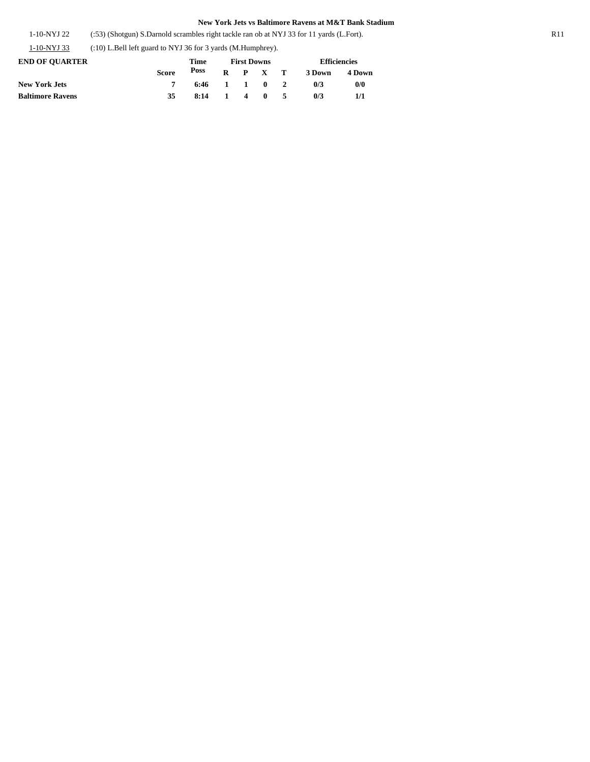1-10-NYJ 22 (:53) (Shotgun) S.Darnold scrambles right tackle ran ob at NYJ 33 for 11 yards (L.Fort). R11

1-10-NYJ 33 (:10) L.Bell left guard to NYJ 36 for 3 yards (M.Humphrey).

| <b>END OF OUARTER</b>   |              | Time           | <b>First Downs</b> |  |                 |  | <b>Efficiencies</b> |        |  |
|-------------------------|--------------|----------------|--------------------|--|-----------------|--|---------------------|--------|--|
|                         | <b>Score</b> |                |                    |  | $R$ $P$ $X$ $T$ |  | 3 Down              | 4 Down |  |
| <b>New York Jets</b>    |              | $6:46$ 1 1 0 2 |                    |  |                 |  | 0/3                 | 0/0    |  |
| <b>Baltimore Ravens</b> | 35           | 8:14 1 4 0 5   |                    |  |                 |  | 0/3                 | 1/1    |  |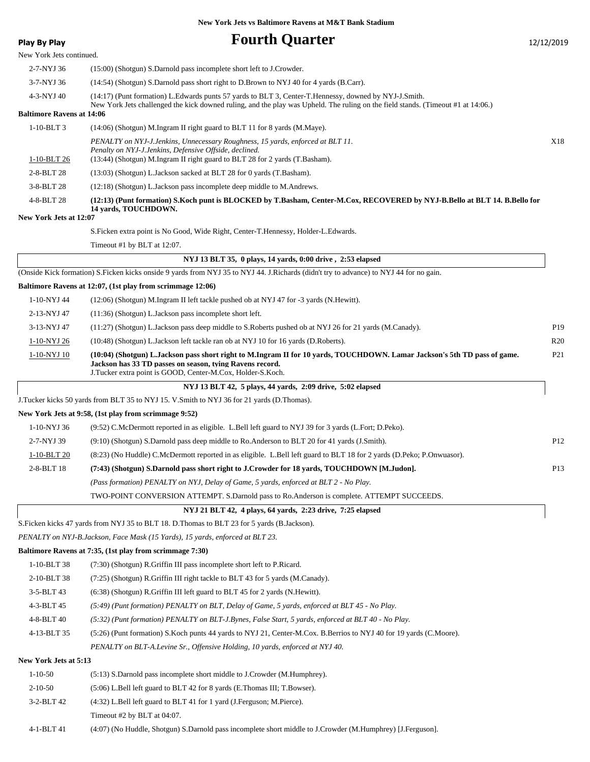| <b>Play By Play</b>                  | <b>Fourth Quarter</b>                                                                                                                                                                                                                               | 12/12/2019      |
|--------------------------------------|-----------------------------------------------------------------------------------------------------------------------------------------------------------------------------------------------------------------------------------------------------|-----------------|
| New York Jets continued.             |                                                                                                                                                                                                                                                     |                 |
| 2-7-NYJ 36                           | (15:00) (Shotgun) S.Darnold pass incomplete short left to J.Crowder.                                                                                                                                                                                |                 |
| 3-7-NYJ 36                           | (14:54) (Shotgun) S.Darnold pass short right to D.Brown to NYJ 40 for 4 yards (B.Carr).                                                                                                                                                             |                 |
| 4-3-NYJ 40                           | (14:17) (Punt formation) L.Edwards punts 57 yards to BLT 3, Center-T.Hennessy, downed by NYJ-J.Smith.                                                                                                                                               |                 |
| <b>Baltimore Ravens at 14:06</b>     | New York Jets challenged the kick downed ruling, and the play was Upheld. The ruling on the field stands. (Timeout #1 at 14:06.)                                                                                                                    |                 |
| $1-10-BLT3$                          | $(14:06)$ (Shotgun) M.Ingram II right guard to BLT 11 for 8 yards (M.Maye).                                                                                                                                                                         |                 |
|                                      | PENALTY on NYJ-J.Jenkins, Unnecessary Roughness, 15 yards, enforced at BLT 11.<br>Penalty on NYJ-J.Jenkins, Defensive Offside, declined.<br>(13:44) (Shotgun) M.Ingram II right guard to BLT 28 for 2 yards (T.Basham).                             | X18             |
| $1-10-BLT26$<br>2-8-BLT 28           |                                                                                                                                                                                                                                                     |                 |
| 3-8-BLT 28                           | (13:03) (Shotgun) L.Jackson sacked at BLT 28 for 0 yards (T.Basham).<br>(12:18) (Shotgun) L.Jackson pass incomplete deep middle to M.Andrews.                                                                                                       |                 |
| 4-8-BLT 28<br>New York Jets at 12:07 | (12:13) (Punt formation) S.Koch punt is BLOCKED by T.Basham, Center-M.Cox, RECOVERED by NYJ-B.Bello at BLT 14. B.Bello for<br>14 yards, TOUCHDOWN.                                                                                                  |                 |
|                                      | S. Ficken extra point is No Good, Wide Right, Center-T. Hennessy, Holder-L. Edwards.                                                                                                                                                                |                 |
|                                      | Timeout #1 by BLT at 12:07.                                                                                                                                                                                                                         |                 |
|                                      | NYJ 13 BLT 35, 0 plays, 14 yards, 0:00 drive, 2:53 elapsed                                                                                                                                                                                          |                 |
|                                      | (Onside Kick formation) S.Ficken kicks onside 9 yards from NYJ 35 to NYJ 44. J.Richards (didn't try to advance) to NYJ 44 for no gain.                                                                                                              |                 |
|                                      | Baltimore Ravens at 12:07, (1st play from scrimmage 12:06)                                                                                                                                                                                          |                 |
| 1-10-NYJ 44                          | (12:06) (Shotgun) M.Ingram II left tackle pushed ob at NYJ 47 for -3 yards (N.Hewitt).                                                                                                                                                              |                 |
| 2-13-NYJ 47                          | (11:36) (Shotgun) L.Jackson pass incomplete short left.                                                                                                                                                                                             |                 |
| 3-13-NYJ 47                          | (11:27) (Shotgun) L.Jackson pass deep middle to S.Roberts pushed ob at NYJ 26 for 21 yards (M.Canady).                                                                                                                                              | P <sub>19</sub> |
| 1-10-NYJ 26                          | (10:48) (Shotgun) L. Jackson left tackle ran ob at NYJ 10 for 16 yards (D. Roberts).                                                                                                                                                                | R <sub>20</sub> |
| 1-10-NYJ 10                          | (10:04) (Shotgun) L.Jackson pass short right to M.Ingram II for 10 yards, TOUCHDOWN. Lamar Jackson's 5th TD pass of game.<br>Jackson has 33 TD passes on season, tying Ravens record.<br>J.Tucker extra point is GOOD, Center-M.Cox, Holder-S.Koch. | P <sub>21</sub> |
|                                      | NYJ 13 BLT 42, 5 plays, 44 yards, 2:09 drive, 5:02 elapsed                                                                                                                                                                                          |                 |
|                                      | J.Tucker kicks 50 yards from BLT 35 to NYJ 15. V.Smith to NYJ 36 for 21 yards (D.Thomas).                                                                                                                                                           |                 |
|                                      | New York Jets at 9:58, (1st play from scrimmage 9:52)                                                                                                                                                                                               |                 |
| 1-10-NYJ 36                          | (9:52) C.McDermott reported in as eligible. L.Bell left guard to NYJ 39 for 3 yards (L.Fort; D.Peko).                                                                                                                                               |                 |
| 2-7-NYJ 39                           | (9:10) (Shotgun) S.Darnold pass deep middle to Ro.Anderson to BLT 20 for 41 yards (J.Smith).                                                                                                                                                        | P12             |
| 1-10-BLT 20                          | (8:23) (No Huddle) C.McDermott reported in as eligible. L.Bell left guard to BLT 18 for 2 yards (D.Peko; P.Onwuasor).                                                                                                                               |                 |
| 2-8-BLT 18                           | (7:43) (Shotgun) S.Darnold pass short right to J.Crowder for 18 yards, TOUCHDOWN [M.Judon].                                                                                                                                                         | P <sub>13</sub> |
|                                      | (Pass formation) PENALTY on NYJ, Delay of Game, 5 yards, enforced at BLT 2 - No Play.                                                                                                                                                               |                 |
|                                      | TWO-POINT CONVERSION ATTEMPT. S.Darnold pass to Ro.Anderson is complete. ATTEMPT SUCCEEDS.                                                                                                                                                          |                 |
|                                      | NYJ 21 BLT 42, 4 plays, 64 yards, 2:23 drive, 7:25 elapsed                                                                                                                                                                                          |                 |
|                                      | S. Ficken kicks 47 yards from NYJ 35 to BLT 18. D. Thomas to BLT 23 for 5 yards (B. Jackson).                                                                                                                                                       |                 |
|                                      | PENALTY on NYJ-B.Jackson, Face Mask (15 Yards), 15 yards, enforced at BLT 23.                                                                                                                                                                       |                 |
|                                      | Baltimore Ravens at 7:35, (1st play from scrimmage 7:30)                                                                                                                                                                                            |                 |
| 1-10-BLT 38                          | (7:30) (Shotgun) R. Griffin III pass incomplete short left to P. Ricard.                                                                                                                                                                            |                 |
| 2-10-BLT 38                          | (7:25) (Shotgun) R.Griffin III right tackle to BLT 43 for 5 yards (M.Canady).                                                                                                                                                                       |                 |
| 3-5-BLT 43                           | (6:38) (Shotgun) R. Griffin III left guard to BLT 45 for 2 yards (N. Hewitt).                                                                                                                                                                       |                 |
| 4-3-BLT 45                           | (5:49) (Punt formation) PENALTY on BLT, Delay of Game, 5 yards, enforced at BLT 45 - No Play.                                                                                                                                                       |                 |
| 4-8-BLT 40                           | (5:32) (Punt formation) PENALTY on BLT-J.Bynes, False Start, 5 yards, enforced at BLT 40 - No Play.                                                                                                                                                 |                 |
| 4-13-BLT 35                          | (5:26) (Punt formation) S. Koch punts 44 yards to NYJ 21, Center-M.Cox. B. Berrios to NYJ 40 for 19 yards (C. Moore).                                                                                                                               |                 |
|                                      | PENALTY on BLT-A.Levine Sr., Offensive Holding, 10 yards, enforced at NYJ 40.                                                                                                                                                                       |                 |
| New York Jets at 5:13                |                                                                                                                                                                                                                                                     |                 |
| $1 - 10 - 50$                        | (5:13) S.Darnold pass incomplete short middle to J.Crowder (M.Humphrey).                                                                                                                                                                            |                 |
| $2 - 10 - 50$                        | (5:06) L.Bell left guard to BLT 42 for 8 yards (E.Thomas III; T.Bowser).                                                                                                                                                                            |                 |
| 3-2-BLT 42                           | (4:32) L.Bell left guard to BLT 41 for 1 yard (J.Ferguson; M.Pierce).                                                                                                                                                                               |                 |

Timeout #2 by BLT at 04:07.

4-1-BLT 41 (4:07) (No Huddle, Shotgun) S.Darnold pass incomplete short middle to J.Crowder (M.Humphrey) [J.Ferguson].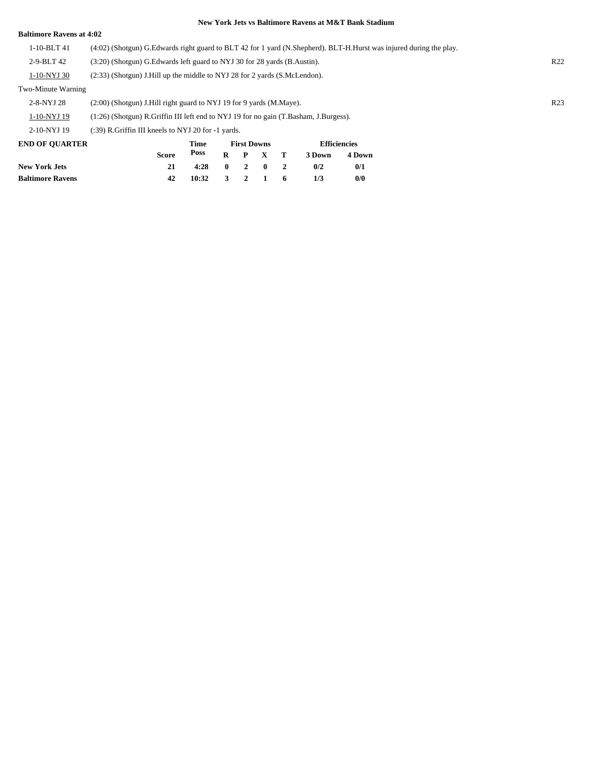### **Baltimore Ravens at 4:02**

1-10-BLT 41 (4:02) (Shotgun) G.Edwards right guard to BLT 42 for 1 yard (N.Shepherd). BLT-H.Hurst was injured during the play.

2-9-BLT 42 (3:20) (Shotgun) G.Edwards left guard to NYJ 30 for 28 yards (B.Austin). R22

1-10-NYJ 30 (2:33) (Shotgun) J.Hill up the middle to NYJ 28 for 2 yards (S.McLendon).

### Two-Minute Warning

| <b>END OF OUADTED</b> |                                                                                           | Time | <b>First Downs</b> | <b>Efficiancias</b> |  |                 |  |
|-----------------------|-------------------------------------------------------------------------------------------|------|--------------------|---------------------|--|-----------------|--|
| 2-10-NYJ 19           | $(.39)$ R. Griffin III kneels to NYJ 20 for $-1$ yards.                                   |      |                    |                     |  |                 |  |
| 1-10-NYJ 19           | $(1:26)$ (Shotgun) R. Griffin III left end to NYJ 19 for no gain (T. Basham, J. Burgess). |      |                    |                     |  |                 |  |
| 2-8-NYJ 28            | $(2:00)$ (Shotgun) J. Hill right guard to NYJ 19 for 9 yards (M. Maye).                   |      |                    |                     |  | R <sub>23</sub> |  |

| <b>END OF QUARTER</b>   |              | Time                    | <b>First Downs</b> |                 |  |  | <b>Efficiencies</b> |        |  |
|-------------------------|--------------|-------------------------|--------------------|-----------------|--|--|---------------------|--------|--|
|                         | <b>Score</b> |                         |                    | $R$ $P$ $X$ $T$ |  |  | 3 Down              | 4 Down |  |
| <b>New York Jets</b>    |              | $4:28$ 0 2 0 2          |                    |                 |  |  | 0/2                 | 0/1    |  |
| <b>Baltimore Ravens</b> | 42           | $10:32 \t3 \t2 \t1 \t6$ |                    |                 |  |  | 1/3                 | 0/0    |  |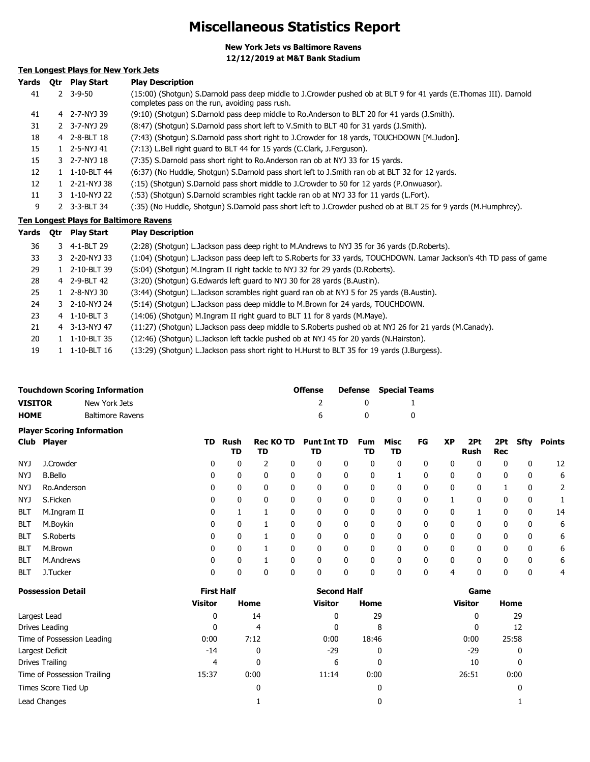# **Miscellaneous Statistics Report**

**New York Jets vs Baltimore Ravens 12/12/2019 at M&T Bank Stadium**

## **Ten Longest Plays for New York Jets**

| Yards | Otr | <b>Play Start</b>                             | <b>Play Description</b>                                                                                                                                             |
|-------|-----|-----------------------------------------------|---------------------------------------------------------------------------------------------------------------------------------------------------------------------|
| 41    |     | $2 \quad 3 - 9 - 50$                          | (15:00) (Shotqun) S.Darnold pass deep middle to J.Crowder pushed ob at BLT 9 for 41 yards (E.Thomas III). Darnold<br>completes pass on the run, avoiding pass rush. |
| 41    |     | 4 2-7-NYJ 39                                  | (9:10) (Shotgun) S.Darnold pass deep middle to Ro.Anderson to BLT 20 for 41 yards (J.Smith).                                                                        |
| 31    |     | 2 3-7-NYJ 29                                  | (8:47) (Shotgun) S.Darnold pass short left to V.Smith to BLT 40 for 31 yards (J.Smith).                                                                             |
| 18    |     | 4 2-8-BLT 18                                  | (7:43) (Shotgun) S.Darnold pass short right to J.Crowder for 18 yards, TOUCHDOWN [M.Judon].                                                                         |
| 15    |     | $1 \quad 2 - 5 - NYJ$ 41                      | (7:13) L.Bell right guard to BLT 44 for 15 yards (C.Clark, J.Ferguson).                                                                                             |
| 15    |     | 3 2-7-NYJ 18                                  | (7:35) S.Darnold pass short right to Ro.Anderson ran ob at NYJ 33 for 15 yards.                                                                                     |
| 12    |     | $1 \quad 1 - 10 - BLT 44$                     | (6:37) (No Huddle, Shotgun) S.Darnold pass short left to J.Smith ran ob at BLT 32 for 12 yards.                                                                     |
| 12    |     | 1 2-21-NYJ 38                                 | (:15) (Shotqun) S.Darnold pass short middle to J.Crowder to 50 for 12 yards (P.Onwuasor).                                                                           |
| 11    |     | 3 1-10-NYJ 22                                 | (:53) (Shotqun) S.Darnold scrambles right tackle ran ob at NYJ 33 for 11 yards (L.Fort).                                                                            |
| 9     |     | 2 3-3-BLT 34                                  | (:35) (No Huddle, Shotgun) S.Darnold pass short left to J.Crowder pushed ob at BLT 25 for 9 yards (M.Humphrey).                                                     |
|       |     | <b>Ten Longest Plays for Baltimore Ravens</b> |                                                                                                                                                                     |
| Yards | Otr | <b>Play Start</b>                             | <b>Play Description</b>                                                                                                                                             |
| 36    |     | 3 4-1-BLT 29                                  | (2:28) (Shotgun) L.Jackson pass deep right to M.Andrews to NYJ 35 for 36 yards (D.Roberts).                                                                         |

|    | 50. | 3 4-1-BLIZY   | (2:28) (Sholquri) L.Jackson pass deep fight to M.Andrews to NTJ 35 for 36 yards (D.Roberts).                        |
|----|-----|---------------|---------------------------------------------------------------------------------------------------------------------|
|    | 33  | 3 2-20-NYJ 33 | (1:04) (Shotqun) L.Jackson pass deep left to S.Roberts for 33 yards, TOUCHDOWN. Lamar Jackson's 4th TD pass of game |
| 29 |     | 1 2-10-BLT 39 | (5:04) (Shotgun) M.Ingram II right tackle to NYJ 32 for 29 yards (D.Roberts).                                       |
|    | 28  | 4 2-9-BLT 42  | (3:20) (Shotgun) G. Edwards left quard to NYJ 30 for 28 yards (B. Austin).                                          |
|    | 25  | 1 2-8-NYJ 30  | (3:44) (Shotgun) L. Jackson scrambles right guard ran ob at NYJ 5 for 25 yards (B. Austin).                         |
| 24 |     | 3 2-10-NYJ 24 | (5:14) (Shotqun) L. Jackson pass deep middle to M. Brown for 24 yards, TOUCHDOWN.                                   |
| 23 |     | 4 1-10-BLT 3  | (14:06) (Shotgun) M.Ingram II right guard to BLT 11 for 8 yards (M.Maye).                                           |
| 21 |     | 4 3-13-NYJ 47 | (11:27) (Shotqun) L.Jackson pass deep middle to S.Roberts pushed ob at NYJ 26 for 21 yards (M.Canady).              |
| 20 |     | 1 1-10-BLT 35 | (12:46) (Shotgun) L.Jackson left tackle pushed ob at NYJ 45 for 20 yards (N.Hairston).                              |
| 19 |     | 1 1-10-BLT 16 | (13:29) (Shotgun) L.Jackson pass short right to H.Hurst to BLT 35 for 19 yards (J.Burgess).                         |
|    |     |               |                                                                                                                     |

|                | <b>Touchdown Scoring Information</b> | Offense  |     | <b>Defense</b> Special Teams |
|----------------|--------------------------------------|----------|-----|------------------------------|
| <b>VISITOR</b> | New York Jets                        |          |     |                              |
| <b>HOME</b>    | <b>Baltimore Ravens</b>              | <b>6</b> | - 0 |                              |

|            | <b>Player Scoring Information</b> |     |              |                        |              |                          |   |                  |              |              |              |                    |             |             |        |
|------------|-----------------------------------|-----|--------------|------------------------|--------------|--------------------------|---|------------------|--------------|--------------|--------------|--------------------|-------------|-------------|--------|
|            | Club Player                       | TD. | Rush<br>TD   | <b>Rec KO TD</b><br>TD |              | <b>Punt Int TD</b><br>TD |   | <b>Fum</b><br>TD | Misc<br>TD   | FG           | <b>XP</b>    | 2Pt<br><b>Rush</b> | 2Pt<br>Rec  | Sfty        | Points |
| NYJ        | J.Crowder                         | 0   | 0            |                        | 0            | 0                        | 0 | 0                | 0            | 0            | 0            | 0                  | 0           | 0           | 12     |
| NYJ        | <b>B.Bello</b>                    | 0   | 0            | 0                      | 0            | 0                        | 0 | 0                |              | 0            | 0            | 0                  | 0           | 0           | 6      |
| NYJ        | Ro.Anderson                       | 0   | 0            | 0                      | 0            | 0                        | 0 | 0                | 0            | 0            | 0            | 0                  |             | 0           | 2      |
| NYJ        | S.Ficken                          | 0   | 0            | 0                      | 0            | 0                        | 0 | 0                | 0            | $\mathbf{0}$ |              | 0                  | $\mathbf 0$ | 0           |        |
| <b>BLT</b> | M.Ingram II                       | 0   |              |                        | $\mathbf{0}$ | 0                        | 0 | 0                | 0            | 0            | 0            |                    | 0           | 0           | 14     |
| <b>BLT</b> | M.Boykin                          | 0   | 0            |                        | $\Omega$     | $\mathbf{0}$             | 0 | 0                | 0            | $\mathbf{0}$ | 0            | 0                  | 0           | 0           | 6      |
| <b>BLT</b> | S.Roberts                         | 0   | $\mathbf{0}$ |                        | 0            | 0                        | 0 | 0                | 0            | 0            | $\mathbf{0}$ | 0                  | 0           | 0           | 6      |
| <b>BLT</b> | M.Brown                           | 0   | 0            |                        | $\Omega$     | $\mathbf{0}$             | 0 | $\mathbf{0}$     | $\mathbf{0}$ | $\mathbf{0}$ | $\mathbf{0}$ | $\Omega$           | 0           | $\mathbf 0$ | 6      |
| <b>BLT</b> | M.Andrews                         | 0   | 0            | и                      | 0            | 0                        | 0 | 0                | $\mathbf{0}$ | $\mathbf{0}$ | $\mathbf{0}$ | 0                  | $\mathbf 0$ | $\mathbf 0$ | 6      |
| <b>BLT</b> | J.Tucker                          | 0   | 0            | 0                      | 0            | 0                        | 0 | 0                | 0            | 0            | 4            | 0                  | 0           | $\mathbf 0$ | 4      |

| <b>Possession Detail</b>    | <b>First Half</b> |      | <b>Second Half</b> |              | Game           |       |  |
|-----------------------------|-------------------|------|--------------------|--------------|----------------|-------|--|
|                             | <b>Visitor</b>    | Home | <b>Visitor</b>     | Home         | <b>Visitor</b> | Home  |  |
| Largest Lead                | 0                 | 14   | 0                  | 29           | 0              | 29    |  |
| Drives Leading              | 0                 | 4    | 0                  | 8            | 0              | 12    |  |
| Time of Possession Leading  | 0:00              | 7:12 | 0:00               | 18:46        | 0:00           | 25:58 |  |
| Largest Deficit             | $-14$             | 0    | $-29$              | $\mathbf{0}$ | $-29$          | 0     |  |
| Drives Trailing             | 4                 | 0    | 6                  | 0            | 10             | 0     |  |
| Time of Possession Trailing | 15:37             | 0:00 | 11:14              | 0:00         | 26:51          | 0:00  |  |
| Times Score Tied Up         |                   | 0    |                    | 0            |                | 0     |  |
| Lead Changes                |                   |      |                    | 0            |                |       |  |